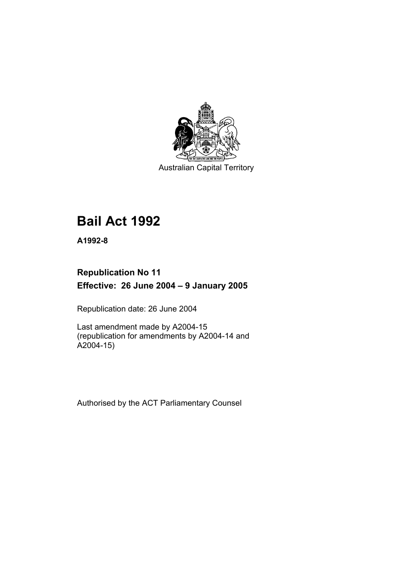

Australian Capital Territory

# **Bail Act 1992**

**A1992-8** 

## **Republication No 11 Effective: 26 June 2004 – 9 January 2005**

Republication date: 26 June 2004

Last amendment made by A2004-15 (republication for amendments by A2004-14 and A2004-15)

Authorised by the ACT Parliamentary Counsel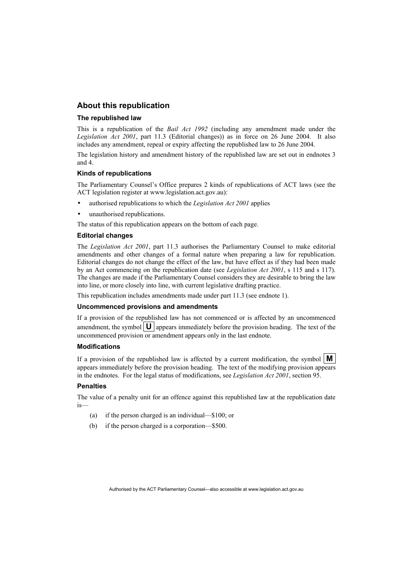## **About this republication**

#### **The republished law**

This is a republication of the *Bail Act 1992* (including any amendment made under the *Legislation Act 2001*, part 11.3 (Editorial changes)) as in force on 26 June 2004*.* It also includes any amendment, repeal or expiry affecting the republished law to 26 June 2004.

The legislation history and amendment history of the republished law are set out in endnotes 3 and 4.

#### **Kinds of republications**

The Parliamentary Counsel's Office prepares 2 kinds of republications of ACT laws (see the ACT legislation register at www.legislation.act.gov.au):

- authorised republications to which the *Legislation Act 2001* applies
- unauthorised republications.

The status of this republication appears on the bottom of each page.

#### **Editorial changes**

The *Legislation Act 2001*, part 11.3 authorises the Parliamentary Counsel to make editorial amendments and other changes of a formal nature when preparing a law for republication. Editorial changes do not change the effect of the law, but have effect as if they had been made by an Act commencing on the republication date (see *Legislation Act 2001*, s 115 and s 117). The changes are made if the Parliamentary Counsel considers they are desirable to bring the law into line, or more closely into line, with current legislative drafting practice.

This republication includes amendments made under part 11.3 (see endnote 1).

#### **Uncommenced provisions and amendments**

If a provision of the republished law has not commenced or is affected by an uncommenced amendment, the symbol  $\mathbf{U}$  appears immediately before the provision heading. The text of the uncommenced provision or amendment appears only in the last endnote.

#### **Modifications**

If a provision of the republished law is affected by a current modification, the symbol  $\mathbf{M}$ appears immediately before the provision heading. The text of the modifying provision appears in the endnotes. For the legal status of modifications, see *Legislation Act 2001*, section 95.

#### **Penalties**

The value of a penalty unit for an offence against this republished law at the republication date is—

- (a) if the person charged is an individual—\$100; or
- (b) if the person charged is a corporation—\$500.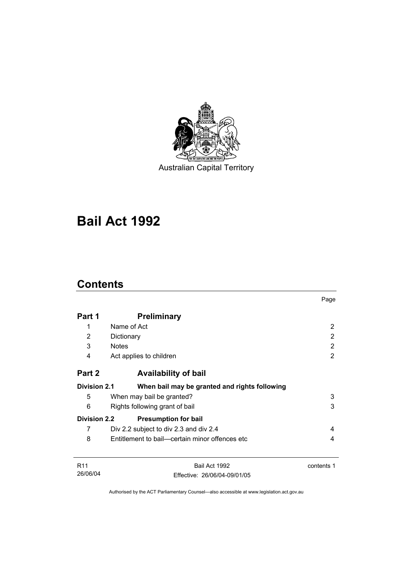

Australian Capital Territory

# **Bail Act 1992**

## **Contents**

|                     |                                                | Page       |
|---------------------|------------------------------------------------|------------|
| Part 1              | <b>Preliminary</b>                             |            |
| 1                   | Name of Act                                    | 2          |
| 2                   | Dictionary                                     | 2          |
| 3                   | <b>Notes</b>                                   | 2          |
| 4                   | Act applies to children                        | 2          |
| Part 2              | <b>Availability of bail</b>                    |            |
| <b>Division 2.1</b> | When bail may be granted and rights following  |            |
| 5                   | When may bail be granted?                      | 3          |
| 6                   | 3<br>Rights following grant of bail            |            |
| <b>Division 2.2</b> | <b>Presumption for bail</b>                    |            |
| 7                   | Div 2.2 subject to div 2.3 and div 2.4         | 4          |
| 8                   | Entitlement to bail—certain minor offences etc | 4          |
| R <sub>11</sub>     | Bail Act 1992                                  | contents 1 |
| 26/06/04            | Effective: 26/06/04-09/01/05                   |            |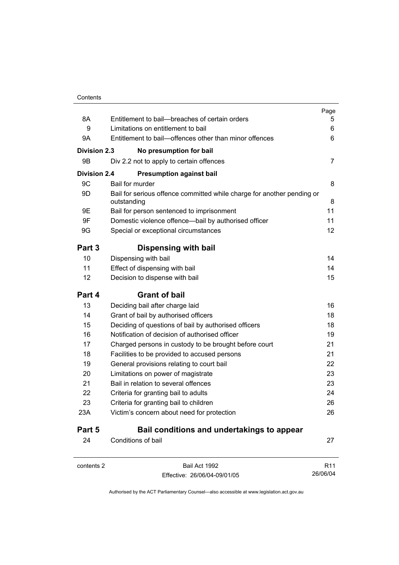|                     |                                                                                       | Page            |
|---------------------|---------------------------------------------------------------------------------------|-----------------|
| 8A                  | Entitlement to bail--breaches of certain orders                                       | 5               |
| 9                   | Limitations on entitlement to bail                                                    | 6               |
| 9Α                  | Entitlement to bail—offences other than minor offences                                | 6               |
| Division 2.3        | No presumption for bail                                                               |                 |
| 9Β                  | Div 2.2 not to apply to certain offences                                              | 7               |
| <b>Division 2.4</b> | <b>Presumption against bail</b>                                                       |                 |
| 9C                  | Bail for murder                                                                       | 8               |
| 9D                  | Bail for serious offence committed while charge for another pending or<br>outstanding | 8               |
| 9E                  | Bail for person sentenced to imprisonment                                             | 11              |
| 9F                  | Domestic violence offence-bail by authorised officer                                  | 11              |
| 9G                  | Special or exceptional circumstances                                                  | 12              |
| Part 3              | Dispensing with bail                                                                  |                 |
| 10                  | Dispensing with bail                                                                  | 14              |
| 11                  | Effect of dispensing with bail                                                        | 14              |
| 12                  | Decision to dispense with bail                                                        | 15              |
| Part 4              | <b>Grant of bail</b>                                                                  |                 |
| 13                  | Deciding bail after charge laid                                                       | 16              |
| 14                  | Grant of bail by authorised officers                                                  | 18              |
| 15                  | Deciding of questions of bail by authorised officers                                  | 18              |
| 16                  | Notification of decision of authorised officer                                        | 19              |
| 17                  | Charged persons in custody to be brought before court                                 | 21              |
| 18                  | Facilities to be provided to accused persons                                          | 21              |
| 19                  | General provisions relating to court bail                                             | 22              |
| 20                  | Limitations on power of magistrate                                                    | 23              |
| 21                  | Bail in relation to several offences                                                  | 23              |
| 22                  | Criteria for granting bail to adults                                                  | 24              |
| 23                  | Criteria for granting bail to children                                                | 26              |
| 23A                 | Victim's concern about need for protection                                            | 26              |
| Part 5              | Bail conditions and undertakings to appear                                            |                 |
| 24                  | Conditions of bail                                                                    | 27              |
| contents 2          | Bail Act 1992                                                                         | R <sub>11</sub> |

Effective: 26/06/04-09/01/05

26/06/04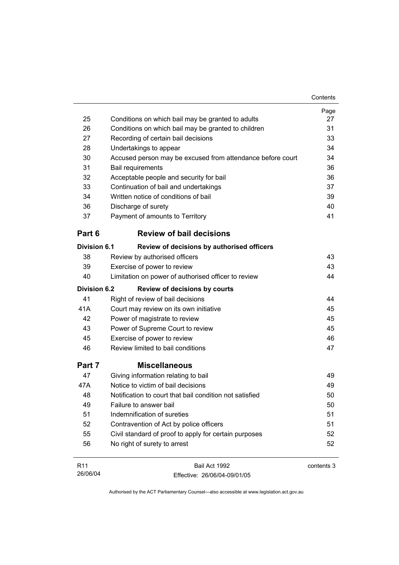|                     |                                                            | Contents   |
|---------------------|------------------------------------------------------------|------------|
|                     |                                                            | Page       |
| 25                  | Conditions on which bail may be granted to adults          | 27         |
| 26                  | Conditions on which bail may be granted to children        | 31         |
| 27                  | Recording of certain bail decisions                        | 33         |
| 28                  | Undertakings to appear                                     | 34         |
| 30                  | Accused person may be excused from attendance before court | 34         |
| 31                  | <b>Bail requirements</b>                                   | 36         |
| 32                  | Acceptable people and security for bail                    | 36         |
| 33                  | Continuation of bail and undertakings                      | 37         |
| 34                  | Written notice of conditions of bail                       | 39         |
| 36                  | Discharge of surety                                        | 40         |
| 37                  | Payment of amounts to Territory                            | 41         |
| Part 6              | <b>Review of bail decisions</b>                            |            |
| <b>Division 6.1</b> | Review of decisions by authorised officers                 |            |
| 38                  | Review by authorised officers                              | 43         |
| 39                  | Exercise of power to review                                | 43         |
| 40                  | Limitation on power of authorised officer to review        | 44         |
| <b>Division 6.2</b> | <b>Review of decisions by courts</b>                       |            |
| 41                  | Right of review of bail decisions                          | 44         |
| 41A                 | Court may review on its own initiative                     | 45         |
| 42                  | Power of magistrate to review                              | 45         |
| 43                  | Power of Supreme Court to review                           | 45         |
| 45                  | Exercise of power to review                                | 46         |
| 46                  | Review limited to bail conditions                          | 47         |
| Part 7              | <b>Miscellaneous</b>                                       |            |
| 47                  | Giving information relating to bail                        | 49         |
| 47A                 | Notice to victim of bail decisions                         | 49         |
| 48                  | Notification to court that bail condition not satisfied    | 50         |
| 49                  | Failure to answer bail                                     | 50         |
| 51                  | Indemnification of sureties                                | 51         |
| 52                  | Contravention of Act by police officers                    | 51         |
| 55                  | Civil standard of proof to apply for certain purposes      | 52         |
| 56                  | No right of surety to arrest                               | 52         |
| R <sub>11</sub>     | Bail Act 1992                                              | contents 3 |

Authorised by the ACT Parliamentary Counsel—also accessible at www.legislation.act.gov.au

Effective: 26/06/04-09/01/05

26/06/04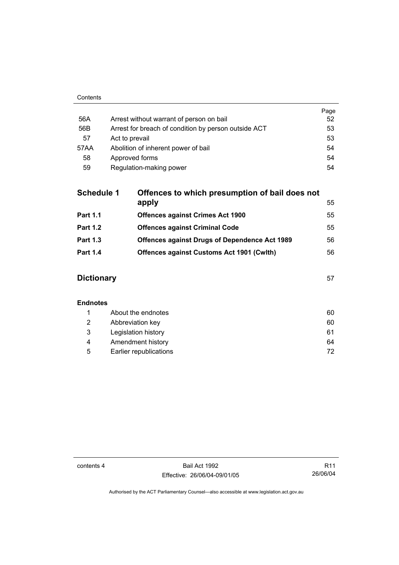|      |                                                      | Page |
|------|------------------------------------------------------|------|
| 56A  | Arrest without warrant of person on bail             | 52   |
| 56B  | Arrest for breach of condition by person outside ACT | 53   |
| 57   | Act to prevail                                       | 53   |
| 57AA | Abolition of inherent power of bail                  | 54   |
| 58   | Approved forms                                       | 54   |
| 59   | Regulation-making power                              | 54   |

| <b>Schedule 1</b> | Offences to which presumption of bail does not       |    |
|-------------------|------------------------------------------------------|----|
|                   | apply                                                | 55 |
| <b>Part 1.1</b>   | <b>Offences against Crimes Act 1900</b>              | 55 |
| <b>Part 1.2</b>   | <b>Offences against Criminal Code</b>                | 55 |
| <b>Part 1.3</b>   | <b>Offences against Drugs of Dependence Act 1989</b> | 56 |
| <b>Part 1.4</b>   | <b>Offences against Customs Act 1901 (Cwith)</b>     | 56 |
|                   |                                                      |    |

## **Dictionary** 57

### **Endnotes**

|   | About the endnotes     | 60 |
|---|------------------------|----|
| 2 | Abbreviation key       | 60 |
| 3 | Legislation history    | 61 |
| 4 | Amendment history      | 64 |
| 5 | Earlier republications | 72 |

contents 4 Bail Act 1992 Effective: 26/06/04-09/01/05

R11 26/06/04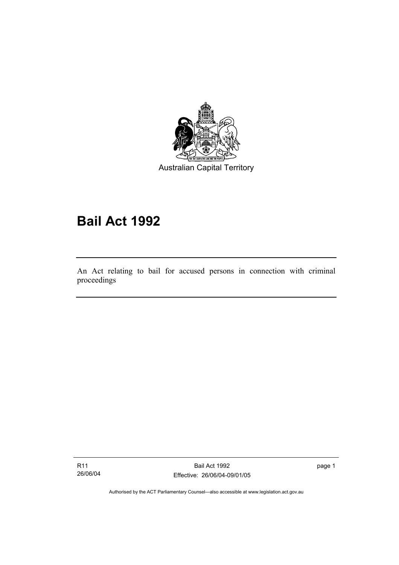

Australian Capital Territory

# **Bail Act 1992**

An Act relating to bail for accused persons in connection with criminal proceedings

R11 26/06/04

I

Bail Act 1992 Effective: 26/06/04-09/01/05 page 1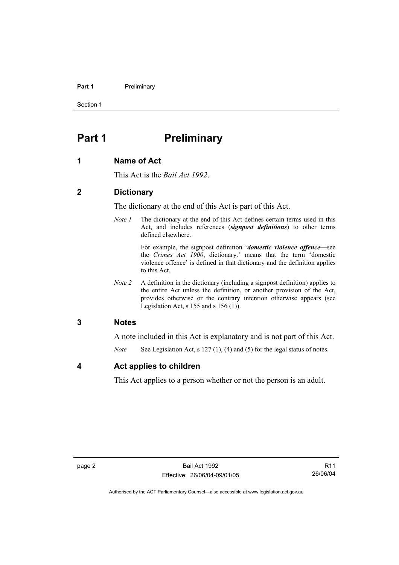#### **Part 1** Preliminary

Section 1

## **Part 1** Preliminary

#### **1 Name of Act**

This Act is the *Bail Act 1992*.

### **2 Dictionary**

The dictionary at the end of this Act is part of this Act.

*Note 1* The dictionary at the end of this Act defines certain terms used in this Act, and includes references (*signpost definitions*) to other terms defined elsewhere.

> For example, the signpost definition '*domestic violence offence—*see the *Crimes Act 1900*, dictionary.' means that the term 'domestic violence offence' is defined in that dictionary and the definition applies to this Act.

*Note 2* A definition in the dictionary (including a signpost definition) applies to the entire Act unless the definition, or another provision of the Act, provides otherwise or the contrary intention otherwise appears (see Legislation Act, s  $155$  and s  $156$  (1)).

## **3 Notes**

A note included in this Act is explanatory and is not part of this Act.

*Note* See Legislation Act, s 127 (1), (4) and (5) for the legal status of notes.

## **4 Act applies to children**

This Act applies to a person whether or not the person is an adult.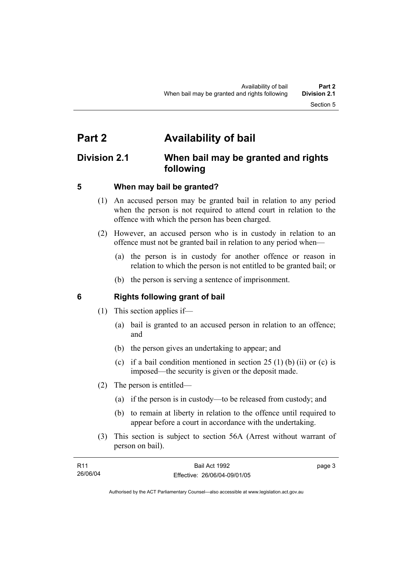## **Part 2 Availability of bail**

## **Division 2.1 When bail may be granted and rights following**

## **5 When may bail be granted?**

- (1) An accused person may be granted bail in relation to any period when the person is not required to attend court in relation to the offence with which the person has been charged.
- (2) However, an accused person who is in custody in relation to an offence must not be granted bail in relation to any period when—
	- (a) the person is in custody for another offence or reason in relation to which the person is not entitled to be granted bail; or
	- (b) the person is serving a sentence of imprisonment.

## **6 Rights following grant of bail**

- (1) This section applies if—
	- (a) bail is granted to an accused person in relation to an offence; and
	- (b) the person gives an undertaking to appear; and
	- (c) if a bail condition mentioned in section  $25(1)$  (b) (ii) or (c) is imposed—the security is given or the deposit made.
- (2) The person is entitled—
	- (a) if the person is in custody—to be released from custody; and
	- (b) to remain at liberty in relation to the offence until required to appear before a court in accordance with the undertaking.
- (3) This section is subject to section 56A (Arrest without warrant of person on bail).

| R <sub>11</sub> | Bail Act 1992                | page 3 |
|-----------------|------------------------------|--------|
| 26/06/04        | Effective: 26/06/04-09/01/05 |        |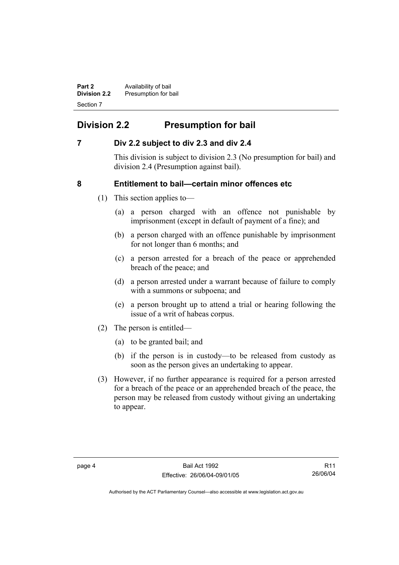**Part 2 Availability of bail Division 2.2** Presumption for bail Section 7

## **Division 2.2 Presumption for bail**

## **7 Div 2.2 subject to div 2.3 and div 2.4**

This division is subject to division 2.3 (No presumption for bail) and division 2.4 (Presumption against bail).

## **8 Entitlement to bail—certain minor offences etc**

- (1) This section applies to—
	- (a) a person charged with an offence not punishable by imprisonment (except in default of payment of a fine); and
	- (b) a person charged with an offence punishable by imprisonment for not longer than 6 months; and
	- (c) a person arrested for a breach of the peace or apprehended breach of the peace; and
	- (d) a person arrested under a warrant because of failure to comply with a summons or subpoena; and
	- (e) a person brought up to attend a trial or hearing following the issue of a writ of habeas corpus.
- (2) The person is entitled—
	- (a) to be granted bail; and
	- (b) if the person is in custody—to be released from custody as soon as the person gives an undertaking to appear.
- (3) However, if no further appearance is required for a person arrested for a breach of the peace or an apprehended breach of the peace, the person may be released from custody without giving an undertaking to appear.

R11 26/06/04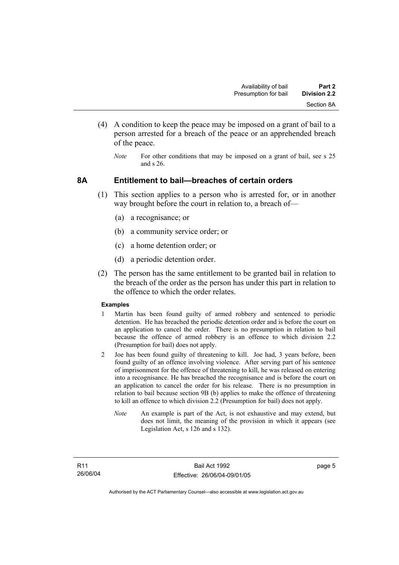- (4) A condition to keep the peace may be imposed on a grant of bail to a person arrested for a breach of the peace or an apprehended breach of the peace.
	- *Note* For other conditions that may be imposed on a grant of bail, see s 25 and s 26.

### **8A Entitlement to bail—breaches of certain orders**

- (1) This section applies to a person who is arrested for, or in another way brought before the court in relation to, a breach of—
	- (a) a recognisance; or
	- (b) a community service order; or
	- (c) a home detention order; or
	- (d) a periodic detention order.
- (2) The person has the same entitlement to be granted bail in relation to the breach of the order as the person has under this part in relation to the offence to which the order relates.

#### **Examples**

- 1 Martin has been found guilty of armed robbery and sentenced to periodic detention. He has breached the periodic detention order and is before the court on an application to cancel the order. There is no presumption in relation to bail because the offence of armed robbery is an offence to which division 2.2 (Presumption for bail) does not apply.
- 2 Joe has been found guilty of threatening to kill. Joe had, 3 years before, been found guilty of an offence involving violence. After serving part of his sentence of imprisonment for the offence of threatening to kill, he was released on entering into a recognisance. He has breached the recognisance and is before the court on an application to cancel the order for his release. There is no presumption in relation to bail because section 9B (b) applies to make the offence of threatening to kill an offence to which division 2.2 (Presumption for bail) does not apply.
	- *Note* An example is part of the Act, is not exhaustive and may extend, but does not limit, the meaning of the provision in which it appears (see Legislation Act, s 126 and s 132).

page 5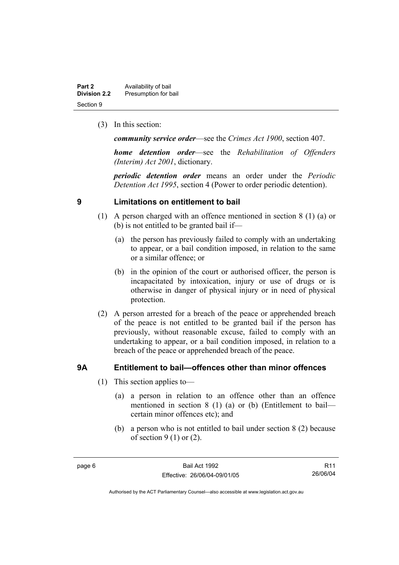| Part 2              | Availability of bail |
|---------------------|----------------------|
| <b>Division 2.2</b> | Presumption for bail |
| Section 9           |                      |

(3) In this section:

*community service order*—see the *Crimes Act 1900*, section 407.

*home detention order*—see the *Rehabilitation of Offenders (Interim) Act 2001*, dictionary.

*periodic detention order* means an order under the *Periodic Detention Act 1995*, section 4 (Power to order periodic detention).

## **9 Limitations on entitlement to bail**

- (1) A person charged with an offence mentioned in section 8 (1) (a) or (b) is not entitled to be granted bail if—
	- (a) the person has previously failed to comply with an undertaking to appear, or a bail condition imposed, in relation to the same or a similar offence; or
	- (b) in the opinion of the court or authorised officer, the person is incapacitated by intoxication, injury or use of drugs or is otherwise in danger of physical injury or in need of physical protection.
- (2) A person arrested for a breach of the peace or apprehended breach of the peace is not entitled to be granted bail if the person has previously, without reasonable excuse, failed to comply with an undertaking to appear, or a bail condition imposed, in relation to a breach of the peace or apprehended breach of the peace.

## **9A Entitlement to bail—offences other than minor offences**

- (1) This section applies to—
	- (a) a person in relation to an offence other than an offence mentioned in section 8 (1) (a) or (b) (Entitlement to bail certain minor offences etc); and
	- (b) a person who is not entitled to bail under section 8 (2) because of section  $9(1)$  or  $(2)$ .

R11 26/06/04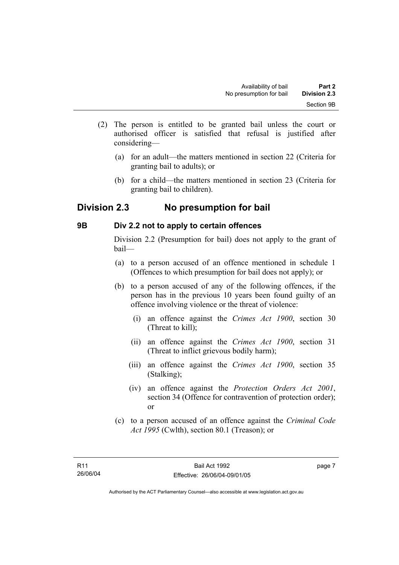- (2) The person is entitled to be granted bail unless the court or authorised officer is satisfied that refusal is justified after considering—
	- (a) for an adult—the matters mentioned in section 22 (Criteria for granting bail to adults); or
	- (b) for a child—the matters mentioned in section 23 (Criteria for granting bail to children).

## **Division 2.3 No presumption for bail**

## **9B Div 2.2 not to apply to certain offences**

Division 2.2 (Presumption for bail) does not apply to the grant of bail—

- (a) to a person accused of an offence mentioned in schedule 1 (Offences to which presumption for bail does not apply); or
- (b) to a person accused of any of the following offences, if the person has in the previous 10 years been found guilty of an offence involving violence or the threat of violence:
	- (i) an offence against the *Crimes Act 1900*, section 30 (Threat to kill);
	- (ii) an offence against the *Crimes Act 1900*, section 31 (Threat to inflict grievous bodily harm);
	- (iii) an offence against the *Crimes Act 1900*, section 35 (Stalking);
	- (iv) an offence against the *Protection Orders Act 2001*, section 34 (Offence for contravention of protection order); or
- (c) to a person accused of an offence against the *Criminal Code Act 1995* (Cwlth), section 80.1 (Treason); or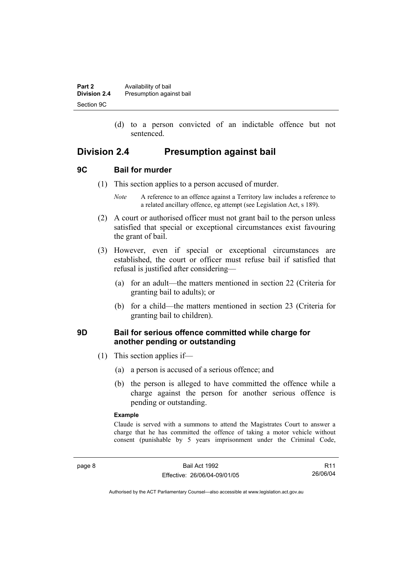| Part 2       | Availability of bail     |
|--------------|--------------------------|
| Division 2.4 | Presumption against bail |
| Section 9C   |                          |

 (d) to a person convicted of an indictable offence but not sentenced.

## **Division 2.4 Presumption against bail**

#### **9C Bail for murder**

- (1) This section applies to a person accused of murder.
	- *Note* A reference to an offence against a Territory law includes a reference to a related ancillary offence, eg attempt (see Legislation Act, s 189).
- (2) A court or authorised officer must not grant bail to the person unless satisfied that special or exceptional circumstances exist favouring the grant of bail.
- (3) However, even if special or exceptional circumstances are established, the court or officer must refuse bail if satisfied that refusal is justified after considering—
	- (a) for an adult—the matters mentioned in section 22 (Criteria for granting bail to adults); or
	- (b) for a child—the matters mentioned in section 23 (Criteria for granting bail to children).

## **9D Bail for serious offence committed while charge for another pending or outstanding**

- (1) This section applies if—
	- (a) a person is accused of a serious offence; and
	- (b) the person is alleged to have committed the offence while a charge against the person for another serious offence is pending or outstanding.

#### **Example**

Claude is served with a summons to attend the Magistrates Court to answer a charge that he has committed the offence of taking a motor vehicle without consent (punishable by 5 years imprisonment under the Criminal Code,

R11 26/06/04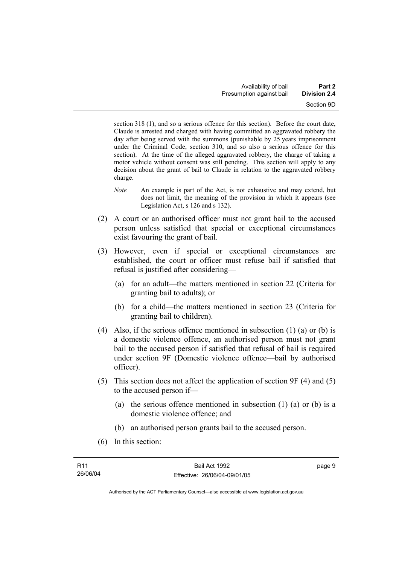section 318 (1), and so a serious offence for this section). Before the court date, Claude is arrested and charged with having committed an aggravated robbery the day after being served with the summons (punishable by 25 years imprisonment under the Criminal Code, section 310, and so also a serious offence for this section). At the time of the alleged aggravated robbery, the charge of taking a motor vehicle without consent was still pending. This section will apply to any decision about the grant of bail to Claude in relation to the aggravated robbery charge.

- *Note* An example is part of the Act, is not exhaustive and may extend, but does not limit, the meaning of the provision in which it appears (see Legislation Act, s 126 and s 132).
- (2) A court or an authorised officer must not grant bail to the accused person unless satisfied that special or exceptional circumstances exist favouring the grant of bail.
- (3) However, even if special or exceptional circumstances are established, the court or officer must refuse bail if satisfied that refusal is justified after considering—
	- (a) for an adult—the matters mentioned in section 22 (Criteria for granting bail to adults); or
	- (b) for a child—the matters mentioned in section 23 (Criteria for granting bail to children).
- (4) Also, if the serious offence mentioned in subsection (1) (a) or (b) is a domestic violence offence, an authorised person must not grant bail to the accused person if satisfied that refusal of bail is required under section 9F (Domestic violence offence—bail by authorised officer).
- (5) This section does not affect the application of section 9F (4) and (5) to the accused person if—
	- (a) the serious offence mentioned in subsection (1) (a) or (b) is a domestic violence offence; and
	- (b) an authorised person grants bail to the accused person.
- (6) In this section: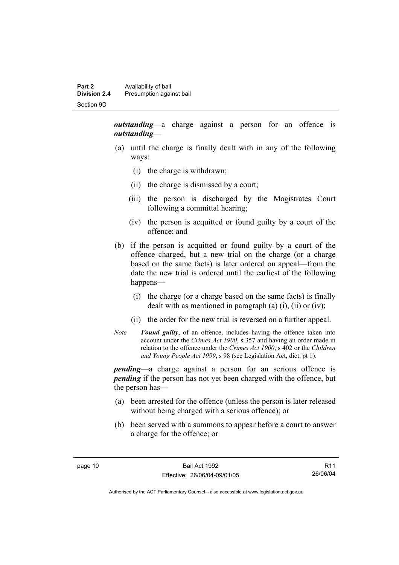*outstanding*—a charge against a person for an offence is *outstanding*—

- (a) until the charge is finally dealt with in any of the following ways:
	- (i) the charge is withdrawn;
	- (ii) the charge is dismissed by a court;
	- (iii) the person is discharged by the Magistrates Court following a committal hearing;
	- (iv) the person is acquitted or found guilty by a court of the offence; and
- (b) if the person is acquitted or found guilty by a court of the offence charged, but a new trial on the charge (or a charge based on the same facts) is later ordered on appeal—from the date the new trial is ordered until the earliest of the following happens—
	- (i) the charge (or a charge based on the same facts) is finally dealt with as mentioned in paragraph (a)  $(i)$ ,  $(ii)$  or  $(iv)$ ;
	- (ii) the order for the new trial is reversed on a further appeal.
- *Note Found guilty*, of an offence, includes having the offence taken into account under the *Crimes Act 1900*, s 357 and having an order made in relation to the offence under the *Crimes Act 1900*, s 402 or the *Children and Young People Act 1999*, s 98 (see Legislation Act, dict, pt 1).

*pending*—a charge against a person for an serious offence is *pending* if the person has not yet been charged with the offence, but the person has—

- (a) been arrested for the offence (unless the person is later released without being charged with a serious offence); or
- (b) been served with a summons to appear before a court to answer a charge for the offence; or

R11 26/06/04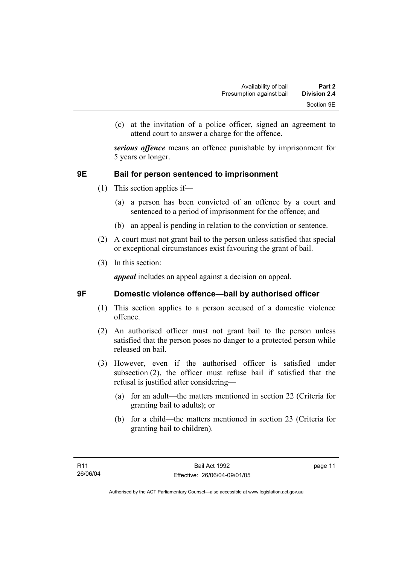(c) at the invitation of a police officer, signed an agreement to attend court to answer a charge for the offence.

*serious offence* means an offence punishable by imprisonment for 5 years or longer.

## **9E Bail for person sentenced to imprisonment**

- (1) This section applies if—
	- (a) a person has been convicted of an offence by a court and sentenced to a period of imprisonment for the offence; and
	- (b) an appeal is pending in relation to the conviction or sentence.
- (2) A court must not grant bail to the person unless satisfied that special or exceptional circumstances exist favouring the grant of bail.
- (3) In this section:

*appeal* includes an appeal against a decision on appeal.

## **9F Domestic violence offence—bail by authorised officer**

- (1) This section applies to a person accused of a domestic violence offence.
- (2) An authorised officer must not grant bail to the person unless satisfied that the person poses no danger to a protected person while released on bail.
- (3) However, even if the authorised officer is satisfied under subsection (2), the officer must refuse bail if satisfied that the refusal is justified after considering—
	- (a) for an adult—the matters mentioned in section 22 (Criteria for granting bail to adults); or
	- (b) for a child—the matters mentioned in section 23 (Criteria for granting bail to children).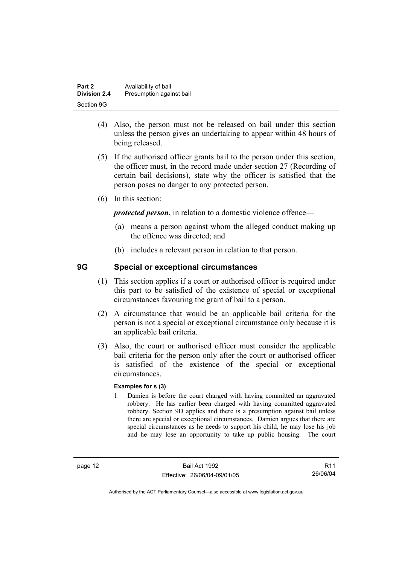| Part 2              | Availability of bail     |
|---------------------|--------------------------|
| <b>Division 2.4</b> | Presumption against bail |
| Section 9G          |                          |

- (4) Also, the person must not be released on bail under this section unless the person gives an undertaking to appear within 48 hours of being released.
- (5) If the authorised officer grants bail to the person under this section, the officer must, in the record made under section 27 (Recording of certain bail decisions), state why the officer is satisfied that the person poses no danger to any protected person.
- (6) In this section:

*protected person*, in relation to a domestic violence offence—

- (a) means a person against whom the alleged conduct making up the offence was directed; and
- (b) includes a relevant person in relation to that person.

## **9G Special or exceptional circumstances**

- (1) This section applies if a court or authorised officer is required under this part to be satisfied of the existence of special or exceptional circumstances favouring the grant of bail to a person.
- (2) A circumstance that would be an applicable bail criteria for the person is not a special or exceptional circumstance only because it is an applicable bail criteria.
- (3) Also, the court or authorised officer must consider the applicable bail criteria for the person only after the court or authorised officer is satisfied of the existence of the special or exceptional circumstances.

#### **Examples for s (3)**

1 Damien is before the court charged with having committed an aggravated robbery. He has earlier been charged with having committed aggravated robbery. Section 9D applies and there is a presumption against bail unless there are special or exceptional circumstances. Damien argues that there are special circumstances as he needs to support his child, he may lose his job and he may lose an opportunity to take up public housing. The court

page 12 Bail Act 1992 Effective: 26/06/04-09/01/05

R11 26/06/04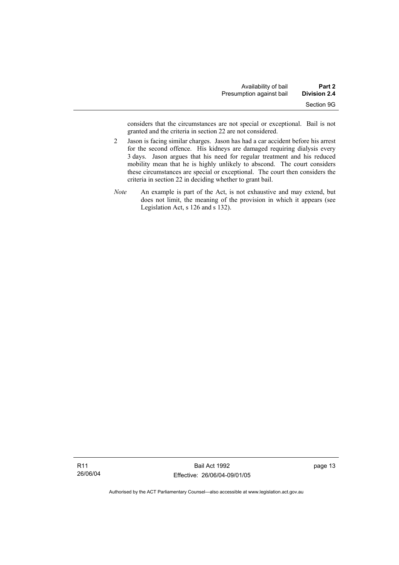considers that the circumstances are not special or exceptional. Bail is not granted and the criteria in section 22 are not considered.

- 2 Jason is facing similar charges. Jason has had a car accident before his arrest for the second offence. His kidneys are damaged requiring dialysis every 3 days. Jason argues that his need for regular treatment and his reduced mobility mean that he is highly unlikely to abscond. The court considers these circumstances are special or exceptional. The court then considers the criteria in section 22 in deciding whether to grant bail.
- *Note* An example is part of the Act, is not exhaustive and may extend, but does not limit, the meaning of the provision in which it appears (see Legislation Act, s 126 and s 132).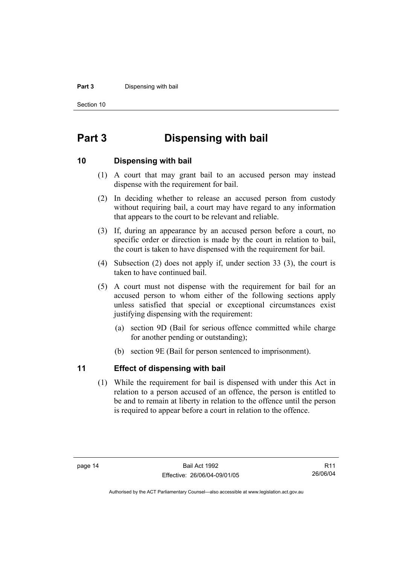#### **Part 3** Dispensing with bail

Section 10

## **Part 3 Dispensing with bail**

### **10 Dispensing with bail**

- (1) A court that may grant bail to an accused person may instead dispense with the requirement for bail.
- (2) In deciding whether to release an accused person from custody without requiring bail, a court may have regard to any information that appears to the court to be relevant and reliable.
- (3) If, during an appearance by an accused person before a court, no specific order or direction is made by the court in relation to bail, the court is taken to have dispensed with the requirement for bail.
- (4) Subsection (2) does not apply if, under section 33 (3), the court is taken to have continued bail.
- (5) A court must not dispense with the requirement for bail for an accused person to whom either of the following sections apply unless satisfied that special or exceptional circumstances exist justifying dispensing with the requirement:
	- (a) section 9D (Bail for serious offence committed while charge for another pending or outstanding);
	- (b) section 9E (Bail for person sentenced to imprisonment).

## **11 Effect of dispensing with bail**

 (1) While the requirement for bail is dispensed with under this Act in relation to a person accused of an offence, the person is entitled to be and to remain at liberty in relation to the offence until the person is required to appear before a court in relation to the offence.

R11 26/06/04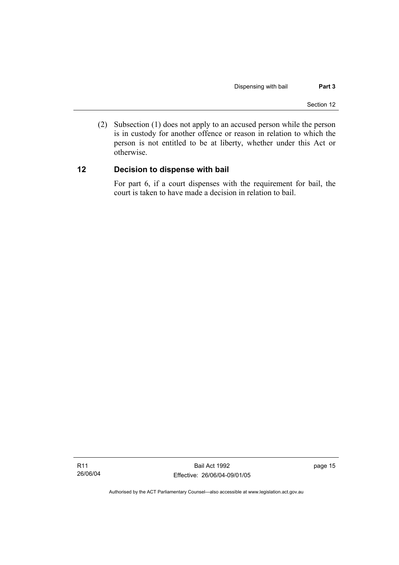(2) Subsection (1) does not apply to an accused person while the person is in custody for another offence or reason in relation to which the person is not entitled to be at liberty, whether under this Act or otherwise.

## **12 Decision to dispense with bail**

For part 6, if a court dispenses with the requirement for bail, the court is taken to have made a decision in relation to bail.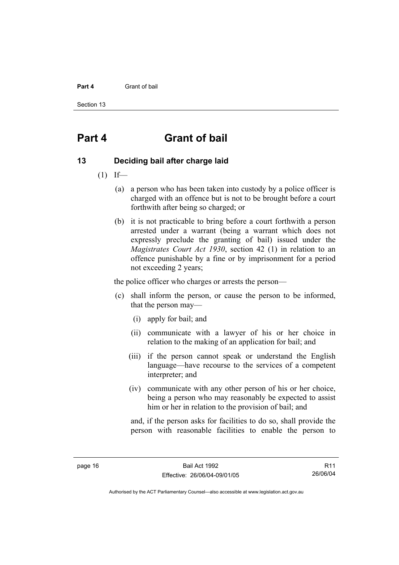#### **Part 4** Grant of bail

Section 13

## **Part 4 Grant of bail**

### **13 Deciding bail after charge laid**

- $(1)$  If—
	- (a) a person who has been taken into custody by a police officer is charged with an offence but is not to be brought before a court forthwith after being so charged; or
	- (b) it is not practicable to bring before a court forthwith a person arrested under a warrant (being a warrant which does not expressly preclude the granting of bail) issued under the *Magistrates Court Act 1930*, section 42 (1) in relation to an offence punishable by a fine or by imprisonment for a period not exceeding 2 years;

the police officer who charges or arrests the person—

- (c) shall inform the person, or cause the person to be informed, that the person may—
	- (i) apply for bail; and
	- (ii) communicate with a lawyer of his or her choice in relation to the making of an application for bail; and
	- (iii) if the person cannot speak or understand the English language—have recourse to the services of a competent interpreter; and
	- (iv) communicate with any other person of his or her choice, being a person who may reasonably be expected to assist him or her in relation to the provision of bail; and

and, if the person asks for facilities to do so, shall provide the person with reasonable facilities to enable the person to

R11 26/06/04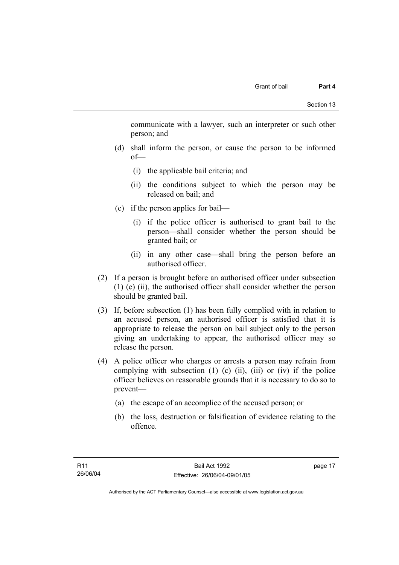communicate with a lawyer, such an interpreter or such other person; and

- (d) shall inform the person, or cause the person to be informed of—
	- (i) the applicable bail criteria; and
	- (ii) the conditions subject to which the person may be released on bail; and
- (e) if the person applies for bail—
	- (i) if the police officer is authorised to grant bail to the person—shall consider whether the person should be granted bail; or
	- (ii) in any other case—shall bring the person before an authorised officer.
- (2) If a person is brought before an authorised officer under subsection (1) (e) (ii), the authorised officer shall consider whether the person should be granted bail.
- (3) If, before subsection (1) has been fully complied with in relation to an accused person, an authorised officer is satisfied that it is appropriate to release the person on bail subject only to the person giving an undertaking to appear, the authorised officer may so release the person.
- (4) A police officer who charges or arrests a person may refrain from complying with subsection  $(1)$   $(c)$   $(ii)$ ,  $(iii)$  or  $(iv)$  if the police officer believes on reasonable grounds that it is necessary to do so to prevent—
	- (a) the escape of an accomplice of the accused person; or
	- (b) the loss, destruction or falsification of evidence relating to the offence.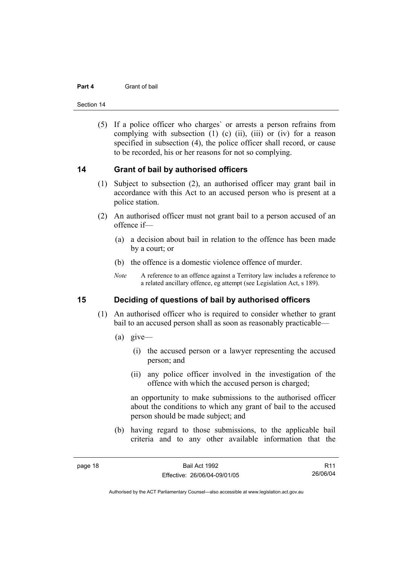#### **Part 4** Grant of bail

Section 14

 (5) If a police officer who charges` or arrests a person refrains from complying with subsection  $(1)$   $(c)$   $(ii)$ ,  $(iii)$  or  $(iv)$  for a reason specified in subsection (4), the police officer shall record, or cause to be recorded, his or her reasons for not so complying.

### **14 Grant of bail by authorised officers**

- (1) Subject to subsection (2), an authorised officer may grant bail in accordance with this Act to an accused person who is present at a police station.
- (2) An authorised officer must not grant bail to a person accused of an offence if—
	- (a) a decision about bail in relation to the offence has been made by a court; or
	- (b) the offence is a domestic violence offence of murder.
	- *Note* A reference to an offence against a Territory law includes a reference to a related ancillary offence, eg attempt (see Legislation Act, s 189).

## **15 Deciding of questions of bail by authorised officers**

- (1) An authorised officer who is required to consider whether to grant bail to an accused person shall as soon as reasonably practicable—
	- (a) give—
		- (i) the accused person or a lawyer representing the accused person; and
		- (ii) any police officer involved in the investigation of the offence with which the accused person is charged;

an opportunity to make submissions to the authorised officer about the conditions to which any grant of bail to the accused person should be made subject; and

 (b) having regard to those submissions, to the applicable bail criteria and to any other available information that the

R11 26/06/04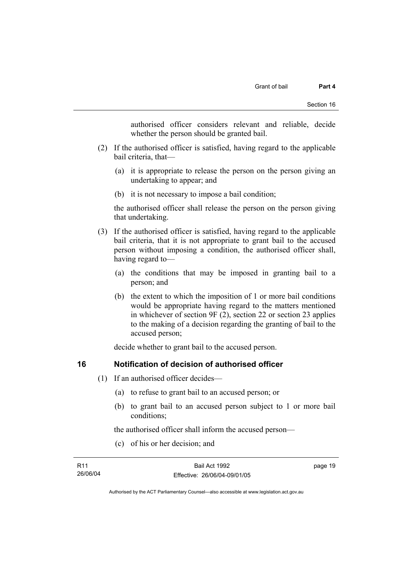authorised officer considers relevant and reliable, decide whether the person should be granted bail.

- (2) If the authorised officer is satisfied, having regard to the applicable bail criteria, that—
	- (a) it is appropriate to release the person on the person giving an undertaking to appear; and
	- (b) it is not necessary to impose a bail condition;

the authorised officer shall release the person on the person giving that undertaking.

- (3) If the authorised officer is satisfied, having regard to the applicable bail criteria, that it is not appropriate to grant bail to the accused person without imposing a condition, the authorised officer shall, having regard to—
	- (a) the conditions that may be imposed in granting bail to a person; and
	- (b) the extent to which the imposition of 1 or more bail conditions would be appropriate having regard to the matters mentioned in whichever of section 9F (2), section 22 or section 23 applies to the making of a decision regarding the granting of bail to the accused person;

decide whether to grant bail to the accused person.

## **16 Notification of decision of authorised officer**

- (1) If an authorised officer decides—
	- (a) to refuse to grant bail to an accused person; or
	- (b) to grant bail to an accused person subject to 1 or more bail conditions;

the authorised officer shall inform the accused person—

(c) of his or her decision; and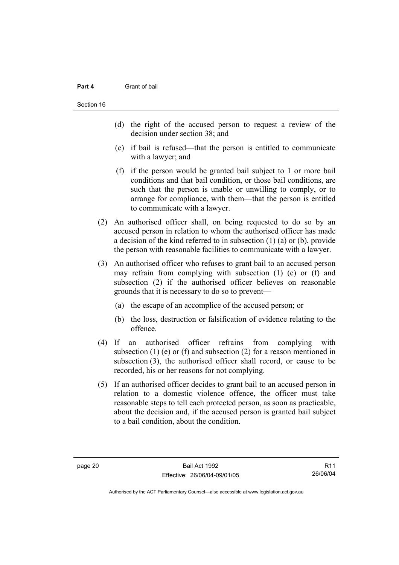#### **Part 4** Grant of bail

- (d) the right of the accused person to request a review of the decision under section 38; and
- (e) if bail is refused—that the person is entitled to communicate with a lawyer; and
- (f) if the person would be granted bail subject to 1 or more bail conditions and that bail condition, or those bail conditions, are such that the person is unable or unwilling to comply, or to arrange for compliance, with them—that the person is entitled to communicate with a lawyer.
- (2) An authorised officer shall, on being requested to do so by an accused person in relation to whom the authorised officer has made a decision of the kind referred to in subsection (1) (a) or (b), provide the person with reasonable facilities to communicate with a lawyer.
- (3) An authorised officer who refuses to grant bail to an accused person may refrain from complying with subsection (1) (e) or (f) and subsection (2) if the authorised officer believes on reasonable grounds that it is necessary to do so to prevent—
	- (a) the escape of an accomplice of the accused person; or
	- (b) the loss, destruction or falsification of evidence relating to the offence.
- (4) If an authorised officer refrains from complying with subsection (1) (e) or (f) and subsection (2) for a reason mentioned in subsection (3), the authorised officer shall record, or cause to be recorded, his or her reasons for not complying.
- (5) If an authorised officer decides to grant bail to an accused person in relation to a domestic violence offence, the officer must take reasonable steps to tell each protected person, as soon as practicable, about the decision and, if the accused person is granted bail subject to a bail condition, about the condition.

R11 26/06/04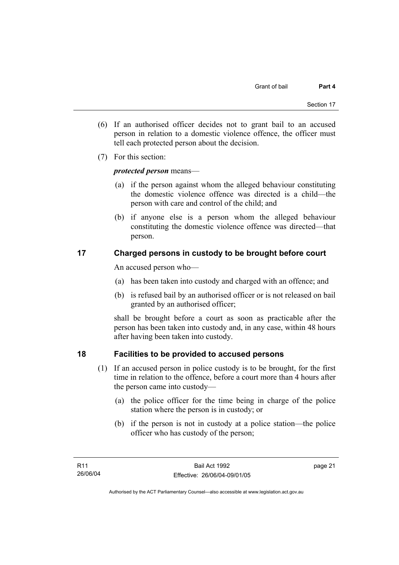- (6) If an authorised officer decides not to grant bail to an accused person in relation to a domestic violence offence, the officer must tell each protected person about the decision.
- (7) For this section:

## *protected person* means—

- (a) if the person against whom the alleged behaviour constituting the domestic violence offence was directed is a child—the person with care and control of the child; and
- (b) if anyone else is a person whom the alleged behaviour constituting the domestic violence offence was directed—that person.

## **17 Charged persons in custody to be brought before court**

An accused person who—

- (a) has been taken into custody and charged with an offence; and
- (b) is refused bail by an authorised officer or is not released on bail granted by an authorised officer;

shall be brought before a court as soon as practicable after the person has been taken into custody and, in any case, within 48 hours after having been taken into custody.

## **18 Facilities to be provided to accused persons**

- (1) If an accused person in police custody is to be brought, for the first time in relation to the offence, before a court more than 4 hours after the person came into custody—
	- (a) the police officer for the time being in charge of the police station where the person is in custody; or
	- (b) if the person is not in custody at a police station—the police officer who has custody of the person;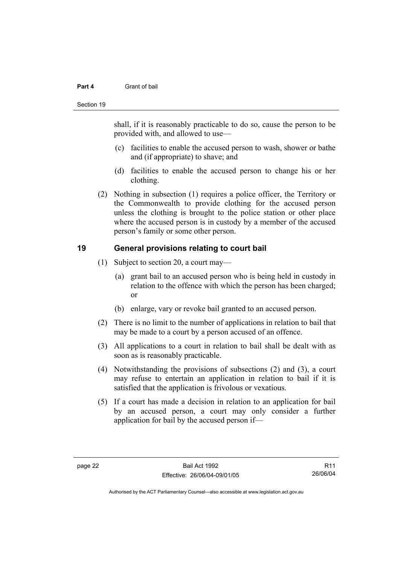#### **Part 4** Grant of bail

#### Section 19

shall, if it is reasonably practicable to do so, cause the person to be provided with, and allowed to use—

- (c) facilities to enable the accused person to wash, shower or bathe and (if appropriate) to shave; and
- (d) facilities to enable the accused person to change his or her clothing.
- (2) Nothing in subsection (1) requires a police officer, the Territory or the Commonwealth to provide clothing for the accused person unless the clothing is brought to the police station or other place where the accused person is in custody by a member of the accused person's family or some other person.

## **19 General provisions relating to court bail**

- (1) Subject to section 20, a court may—
	- (a) grant bail to an accused person who is being held in custody in relation to the offence with which the person has been charged; or
	- (b) enlarge, vary or revoke bail granted to an accused person.
- (2) There is no limit to the number of applications in relation to bail that may be made to a court by a person accused of an offence.
- (3) All applications to a court in relation to bail shall be dealt with as soon as is reasonably practicable.
- (4) Notwithstanding the provisions of subsections (2) and (3), a court may refuse to entertain an application in relation to bail if it is satisfied that the application is frivolous or vexatious.
- (5) If a court has made a decision in relation to an application for bail by an accused person, a court may only consider a further application for bail by the accused person if—

R11 26/06/04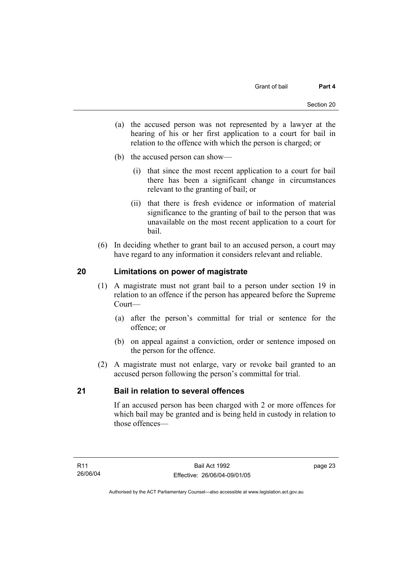- (a) the accused person was not represented by a lawyer at the hearing of his or her first application to a court for bail in relation to the offence with which the person is charged; or
- (b) the accused person can show—
	- (i) that since the most recent application to a court for bail there has been a significant change in circumstances relevant to the granting of bail; or
	- (ii) that there is fresh evidence or information of material significance to the granting of bail to the person that was unavailable on the most recent application to a court for bail.
- (6) In deciding whether to grant bail to an accused person, a court may have regard to any information it considers relevant and reliable.

## **20 Limitations on power of magistrate**

- (1) A magistrate must not grant bail to a person under section 19 in relation to an offence if the person has appeared before the Supreme Court—
	- (a) after the person's committal for trial or sentence for the offence; or
	- (b) on appeal against a conviction, order or sentence imposed on the person for the offence.
- (2) A magistrate must not enlarge, vary or revoke bail granted to an accused person following the person's committal for trial.

## **21 Bail in relation to several offences**

If an accused person has been charged with 2 or more offences for which bail may be granted and is being held in custody in relation to those offences—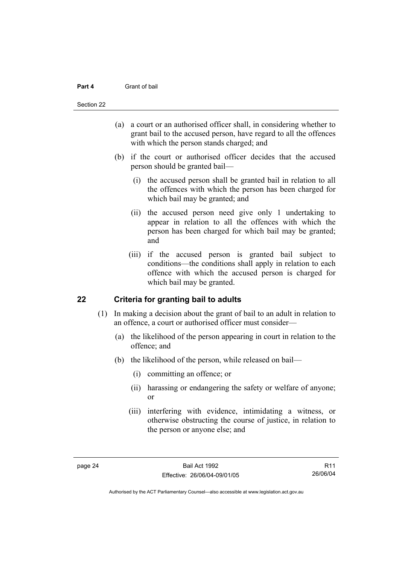#### **Part 4** Grant of bail

#### Section 22

- (a) a court or an authorised officer shall, in considering whether to grant bail to the accused person, have regard to all the offences with which the person stands charged; and
- (b) if the court or authorised officer decides that the accused person should be granted bail—
	- (i) the accused person shall be granted bail in relation to all the offences with which the person has been charged for which bail may be granted; and
	- (ii) the accused person need give only 1 undertaking to appear in relation to all the offences with which the person has been charged for which bail may be granted; and
	- (iii) if the accused person is granted bail subject to conditions—the conditions shall apply in relation to each offence with which the accused person is charged for which bail may be granted.

## **22 Criteria for granting bail to adults**

- (1) In making a decision about the grant of bail to an adult in relation to an offence, a court or authorised officer must consider—
	- (a) the likelihood of the person appearing in court in relation to the offence; and
	- (b) the likelihood of the person, while released on bail—
		- (i) committing an offence; or
		- (ii) harassing or endangering the safety or welfare of anyone; or
		- (iii) interfering with evidence, intimidating a witness, or otherwise obstructing the course of justice, in relation to the person or anyone else; and

R11 26/06/04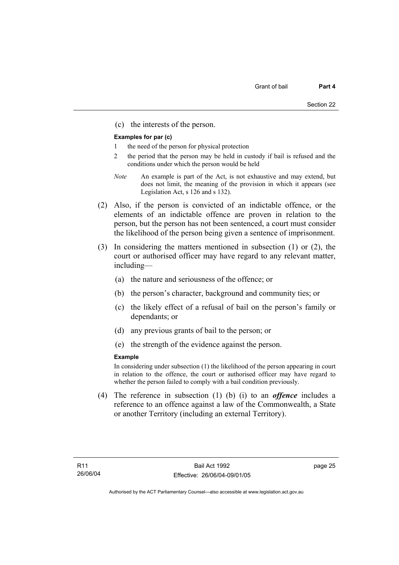(c) the interests of the person.

#### **Examples for par (c)**

- 1 the need of the person for physical protection
- 2 the period that the person may be held in custody if bail is refused and the conditions under which the person would be held
- *Note* An example is part of the Act, is not exhaustive and may extend, but does not limit, the meaning of the provision in which it appears (see Legislation Act, s 126 and s 132).
- (2) Also, if the person is convicted of an indictable offence, or the elements of an indictable offence are proven in relation to the person, but the person has not been sentenced, a court must consider the likelihood of the person being given a sentence of imprisonment.
- (3) In considering the matters mentioned in subsection (1) or (2), the court or authorised officer may have regard to any relevant matter, including—
	- (a) the nature and seriousness of the offence; or
	- (b) the person's character, background and community ties; or
	- (c) the likely effect of a refusal of bail on the person's family or dependants; or
	- (d) any previous grants of bail to the person; or
	- (e) the strength of the evidence against the person.

#### **Example**

In considering under subsection (1) the likelihood of the person appearing in court in relation to the offence, the court or authorised officer may have regard to whether the person failed to comply with a bail condition previously.

 (4) The reference in subsection (1) (b) (i) to an *offence* includes a reference to an offence against a law of the Commonwealth, a State or another Territory (including an external Territory).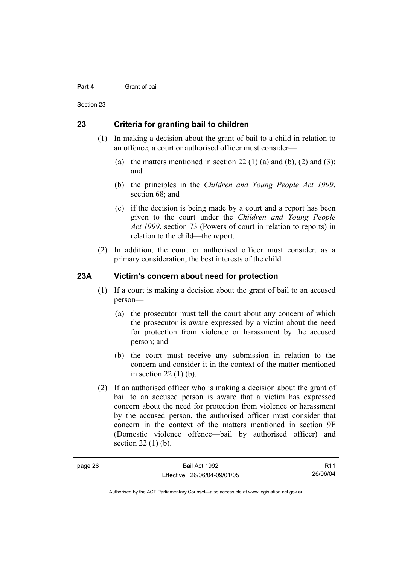#### **Part 4** Grant of bail

Section 23

## **23 Criteria for granting bail to children**

- (1) In making a decision about the grant of bail to a child in relation to an offence, a court or authorised officer must consider—
	- (a) the matters mentioned in section 22 (1) (a) and (b), (2) and (3); and
	- (b) the principles in the *Children and Young People Act 1999*, section 68; and
	- (c) if the decision is being made by a court and a report has been given to the court under the *Children and Young People Act 1999*, section 73 (Powers of court in relation to reports) in relation to the child—the report.
- (2) In addition, the court or authorised officer must consider, as a primary consideration, the best interests of the child.

## **23A Victim's concern about need for protection**

- (1) If a court is making a decision about the grant of bail to an accused person—
	- (a) the prosecutor must tell the court about any concern of which the prosecutor is aware expressed by a victim about the need for protection from violence or harassment by the accused person; and
	- (b) the court must receive any submission in relation to the concern and consider it in the context of the matter mentioned in section 22 (1) (b).
- (2) If an authorised officer who is making a decision about the grant of bail to an accused person is aware that a victim has expressed concern about the need for protection from violence or harassment by the accused person, the authorised officer must consider that concern in the context of the matters mentioned in section 9F (Domestic violence offence—bail by authorised officer) and section 22 (1) (b).

R11 26/06/04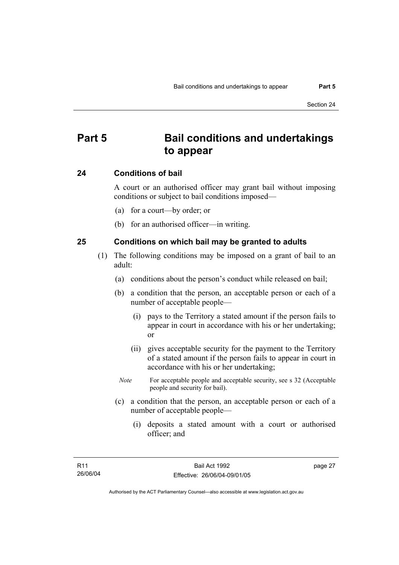## **Part 5 Bail conditions and undertakings to appear**

### **24 Conditions of bail**

A court or an authorised officer may grant bail without imposing conditions or subject to bail conditions imposed—

- (a) for a court—by order; or
- (b) for an authorised officer—in writing.

### **25 Conditions on which bail may be granted to adults**

- (1) The following conditions may be imposed on a grant of bail to an adult:
	- (a) conditions about the person's conduct while released on bail;
	- (b) a condition that the person, an acceptable person or each of a number of acceptable people—
		- (i) pays to the Territory a stated amount if the person fails to appear in court in accordance with his or her undertaking; or
		- (ii) gives acceptable security for the payment to the Territory of a stated amount if the person fails to appear in court in accordance with his or her undertaking;
		- *Note* For acceptable people and acceptable security, see s 32 (Acceptable people and security for bail).
	- (c) a condition that the person, an acceptable person or each of a number of acceptable people—
		- (i) deposits a stated amount with a court or authorised officer; and

Authorised by the ACT Parliamentary Counsel—also accessible at www.legislation.act.gov.au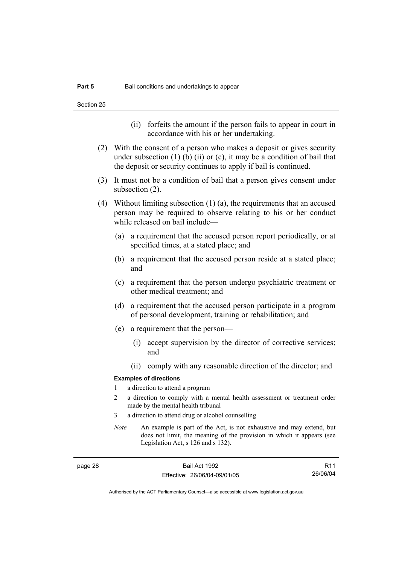- (ii) forfeits the amount if the person fails to appear in court in accordance with his or her undertaking.
- (2) With the consent of a person who makes a deposit or gives security under subsection  $(1)$  (b)  $(ii)$  or  $(c)$ , it may be a condition of bail that the deposit or security continues to apply if bail is continued.
- (3) It must not be a condition of bail that a person gives consent under subsection (2).
- (4) Without limiting subsection (1) (a), the requirements that an accused person may be required to observe relating to his or her conduct while released on bail include—
	- (a) a requirement that the accused person report periodically, or at specified times, at a stated place; and
	- (b) a requirement that the accused person reside at a stated place; and
	- (c) a requirement that the person undergo psychiatric treatment or other medical treatment; and
	- (d) a requirement that the accused person participate in a program of personal development, training or rehabilitation; and
	- (e) a requirement that the person—
		- (i) accept supervision by the director of corrective services; and
		- (ii) comply with any reasonable direction of the director; and

#### **Examples of directions**

- 1 a direction to attend a program
- 2 a direction to comply with a mental health assessment or treatment order made by the mental health tribunal
- 3 a direction to attend drug or alcohol counselling
- *Note* An example is part of the Act, is not exhaustive and may extend, but does not limit, the meaning of the provision in which it appears (see Legislation Act, s 126 and s 132).

page 28 Bail Act 1992 Effective: 26/06/04-09/01/05

R11 26/06/04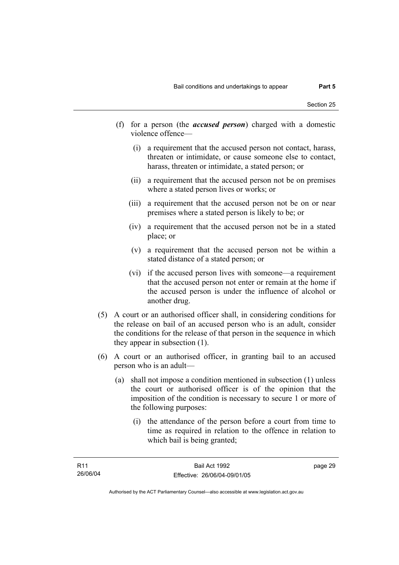- (f) for a person (the *accused person*) charged with a domestic violence offence—
	- (i) a requirement that the accused person not contact, harass, threaten or intimidate, or cause someone else to contact, harass, threaten or intimidate, a stated person; or
	- (ii) a requirement that the accused person not be on premises where a stated person lives or works; or
	- (iii) a requirement that the accused person not be on or near premises where a stated person is likely to be; or
	- (iv) a requirement that the accused person not be in a stated place; or
	- (v) a requirement that the accused person not be within a stated distance of a stated person; or
	- (vi) if the accused person lives with someone—a requirement that the accused person not enter or remain at the home if the accused person is under the influence of alcohol or another drug.
- (5) A court or an authorised officer shall, in considering conditions for the release on bail of an accused person who is an adult, consider the conditions for the release of that person in the sequence in which they appear in subsection (1).
- (6) A court or an authorised officer, in granting bail to an accused person who is an adult—
	- (a) shall not impose a condition mentioned in subsection (1) unless the court or authorised officer is of the opinion that the imposition of the condition is necessary to secure 1 or more of the following purposes:
		- (i) the attendance of the person before a court from time to time as required in relation to the offence in relation to which bail is being granted;

Authorised by the ACT Parliamentary Counsel—also accessible at www.legislation.act.gov.au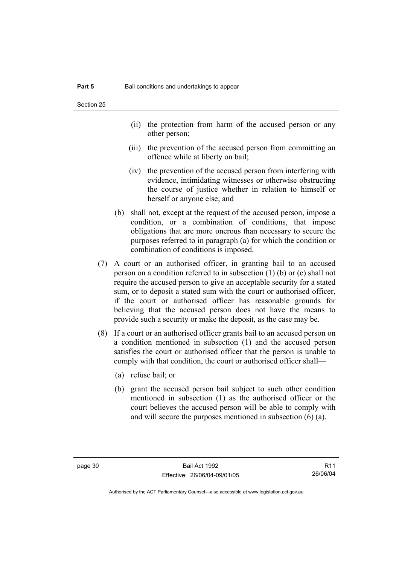- (ii) the protection from harm of the accused person or any other person;
- (iii) the prevention of the accused person from committing an offence while at liberty on bail;
- (iv) the prevention of the accused person from interfering with evidence, intimidating witnesses or otherwise obstructing the course of justice whether in relation to himself or herself or anyone else; and
- (b) shall not, except at the request of the accused person, impose a condition, or a combination of conditions, that impose obligations that are more onerous than necessary to secure the purposes referred to in paragraph (a) for which the condition or combination of conditions is imposed.
- (7) A court or an authorised officer, in granting bail to an accused person on a condition referred to in subsection (1) (b) or (c) shall not require the accused person to give an acceptable security for a stated sum, or to deposit a stated sum with the court or authorised officer, if the court or authorised officer has reasonable grounds for believing that the accused person does not have the means to provide such a security or make the deposit, as the case may be.
- (8) If a court or an authorised officer grants bail to an accused person on a condition mentioned in subsection (1) and the accused person satisfies the court or authorised officer that the person is unable to comply with that condition, the court or authorised officer shall—
	- (a) refuse bail; or
	- (b) grant the accused person bail subject to such other condition mentioned in subsection (1) as the authorised officer or the court believes the accused person will be able to comply with and will secure the purposes mentioned in subsection (6) (a).

R11 26/06/04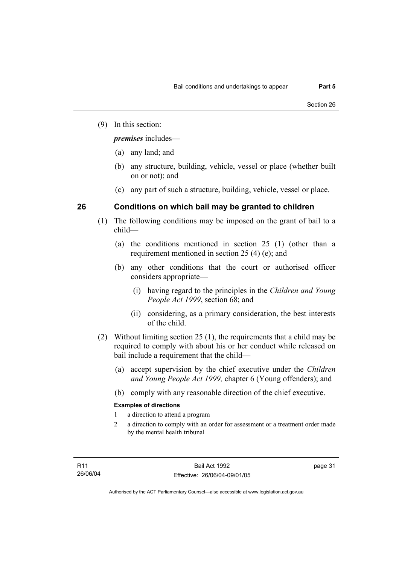(9) In this section:

*premises* includes—

- (a) any land; and
- (b) any structure, building, vehicle, vessel or place (whether built on or not); and
- (c) any part of such a structure, building, vehicle, vessel or place.

## **26 Conditions on which bail may be granted to children**

- (1) The following conditions may be imposed on the grant of bail to a child—
	- (a) the conditions mentioned in section 25 (1) (other than a requirement mentioned in section 25 (4) (e); and
	- (b) any other conditions that the court or authorised officer considers appropriate—
		- (i) having regard to the principles in the *Children and Young People Act 1999*, section 68; and
		- (ii) considering, as a primary consideration, the best interests of the child.
- (2) Without limiting section 25 (1), the requirements that a child may be required to comply with about his or her conduct while released on bail include a requirement that the child—
	- (a) accept supervision by the chief executive under the *Children and Young People Act 1999,* chapter 6 (Young offenders); and
	- (b) comply with any reasonable direction of the chief executive.

## **Examples of directions**

- 1 a direction to attend a program
- 2 a direction to comply with an order for assessment or a treatment order made by the mental health tribunal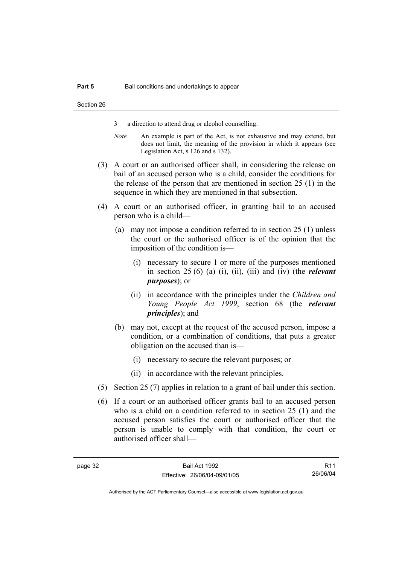- 3 a direction to attend drug or alcohol counselling.
- *Note* An example is part of the Act, is not exhaustive and may extend, but does not limit, the meaning of the provision in which it appears (see Legislation Act, s 126 and s 132).
- (3) A court or an authorised officer shall, in considering the release on bail of an accused person who is a child, consider the conditions for the release of the person that are mentioned in section 25 (1) in the sequence in which they are mentioned in that subsection.
- (4) A court or an authorised officer, in granting bail to an accused person who is a child—
	- (a) may not impose a condition referred to in section 25 (1) unless the court or the authorised officer is of the opinion that the imposition of the condition is—
		- (i) necessary to secure 1 or more of the purposes mentioned in section 25 (6) (a) (i), (ii), (iii) and (iv) (the *relevant purposes*); or
		- (ii) in accordance with the principles under the *Children and Young People Act 1999*, section 68 (the *relevant principles*); and
	- (b) may not, except at the request of the accused person, impose a condition, or a combination of conditions, that puts a greater obligation on the accused than is—
		- (i) necessary to secure the relevant purposes; or
		- (ii) in accordance with the relevant principles.
- (5) Section 25 (7) applies in relation to a grant of bail under this section.
- (6) If a court or an authorised officer grants bail to an accused person who is a child on a condition referred to in section 25 (1) and the accused person satisfies the court or authorised officer that the person is unable to comply with that condition, the court or authorised officer shall—

R11 26/06/04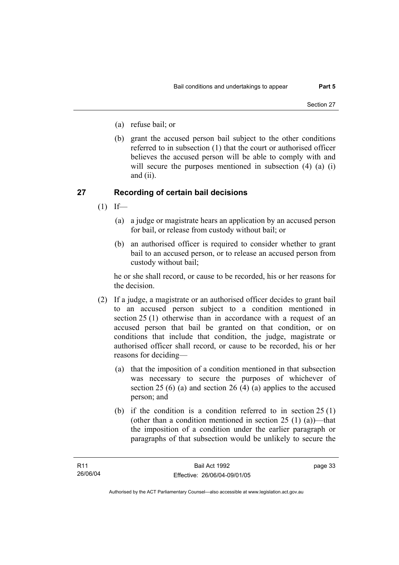- (a) refuse bail; or
- (b) grant the accused person bail subject to the other conditions referred to in subsection (1) that the court or authorised officer believes the accused person will be able to comply with and will secure the purposes mentioned in subsection (4) (a) (i) and (ii).

## **27 Recording of certain bail decisions**

- $(1)$  If—
	- (a) a judge or magistrate hears an application by an accused person for bail, or release from custody without bail; or
	- (b) an authorised officer is required to consider whether to grant bail to an accused person, or to release an accused person from custody without bail;

he or she shall record, or cause to be recorded, his or her reasons for the decision.

- (2) If a judge, a magistrate or an authorised officer decides to grant bail to an accused person subject to a condition mentioned in section 25 (1) otherwise than in accordance with a request of an accused person that bail be granted on that condition, or on conditions that include that condition, the judge, magistrate or authorised officer shall record, or cause to be recorded, his or her reasons for deciding—
	- (a) that the imposition of a condition mentioned in that subsection was necessary to secure the purposes of whichever of section 25 (6) (a) and section 26 (4) (a) applies to the accused person; and
	- (b) if the condition is a condition referred to in section 25 (1) (other than a condition mentioned in section  $25(1)(a)$ )—that the imposition of a condition under the earlier paragraph or paragraphs of that subsection would be unlikely to secure the

page 33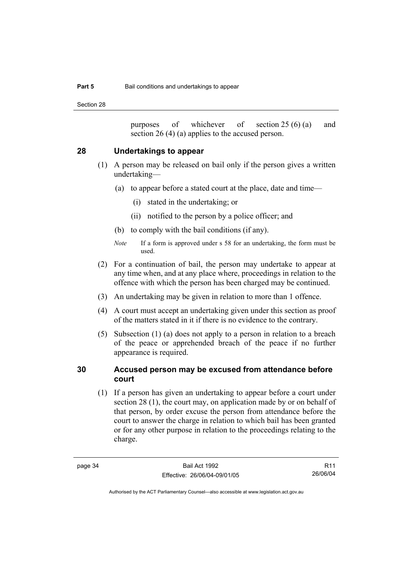Section 28

purposes of whichever of section 25 (6) (a) and section 26 (4) (a) applies to the accused person.

## **28 Undertakings to appear**

- (1) A person may be released on bail only if the person gives a written undertaking—
	- (a) to appear before a stated court at the place, date and time—
		- (i) stated in the undertaking; or
		- (ii) notified to the person by a police officer; and
	- (b) to comply with the bail conditions (if any).
	- *Note* If a form is approved under s 58 for an undertaking, the form must be used.
- (2) For a continuation of bail, the person may undertake to appear at any time when, and at any place where, proceedings in relation to the offence with which the person has been charged may be continued.
- (3) An undertaking may be given in relation to more than 1 offence.
- (4) A court must accept an undertaking given under this section as proof of the matters stated in it if there is no evidence to the contrary.
- (5) Subsection (1) (a) does not apply to a person in relation to a breach of the peace or apprehended breach of the peace if no further appearance is required.

## **30 Accused person may be excused from attendance before court**

 (1) If a person has given an undertaking to appear before a court under section 28 (1), the court may, on application made by or on behalf of that person, by order excuse the person from attendance before the court to answer the charge in relation to which bail has been granted or for any other purpose in relation to the proceedings relating to the charge.

R11 26/06/04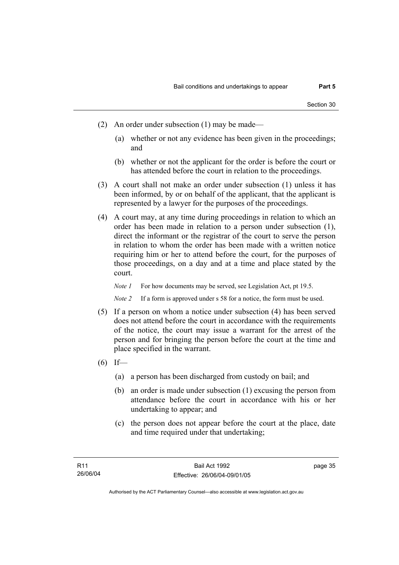- (2) An order under subsection (1) may be made—
	- (a) whether or not any evidence has been given in the proceedings; and
	- (b) whether or not the applicant for the order is before the court or has attended before the court in relation to the proceedings.
- (3) A court shall not make an order under subsection (1) unless it has been informed, by or on behalf of the applicant, that the applicant is represented by a lawyer for the purposes of the proceedings.
- (4) A court may, at any time during proceedings in relation to which an order has been made in relation to a person under subsection (1), direct the informant or the registrar of the court to serve the person in relation to whom the order has been made with a written notice requiring him or her to attend before the court, for the purposes of those proceedings, on a day and at a time and place stated by the court.

*Note 1* For how documents may be served, see Legislation Act, pt 19.5.

*Note 2* If a form is approved under s 58 for a notice, the form must be used.

- (5) If a person on whom a notice under subsection (4) has been served does not attend before the court in accordance with the requirements of the notice, the court may issue a warrant for the arrest of the person and for bringing the person before the court at the time and place specified in the warrant.
- $(6)$  If—
	- (a) a person has been discharged from custody on bail; and
	- (b) an order is made under subsection (1) excusing the person from attendance before the court in accordance with his or her undertaking to appear; and
	- (c) the person does not appear before the court at the place, date and time required under that undertaking;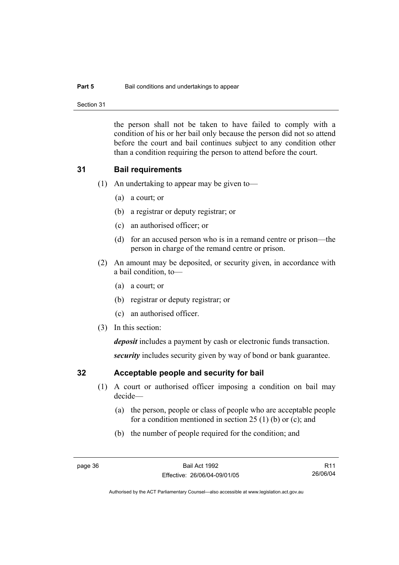### **Part 5 Bail conditions and undertakings to appear**

Section 31

the person shall not be taken to have failed to comply with a condition of his or her bail only because the person did not so attend before the court and bail continues subject to any condition other than a condition requiring the person to attend before the court.

## **31 Bail requirements**

- (1) An undertaking to appear may be given to—
	- (a) a court; or
	- (b) a registrar or deputy registrar; or
	- (c) an authorised officer; or
	- (d) for an accused person who is in a remand centre or prison—the person in charge of the remand centre or prison.
- (2) An amount may be deposited, or security given, in accordance with a bail condition, to—
	- (a) a court; or
	- (b) registrar or deputy registrar; or
	- (c) an authorised officer.
- (3) In this section:

*deposit* includes a payment by cash or electronic funds transaction.

*security* includes security given by way of bond or bank guarantee.

## **32 Acceptable people and security for bail**

- (1) A court or authorised officer imposing a condition on bail may decide—
	- (a) the person, people or class of people who are acceptable people for a condition mentioned in section 25 (1) (b) or (c); and
	- (b) the number of people required for the condition; and

R11 26/06/04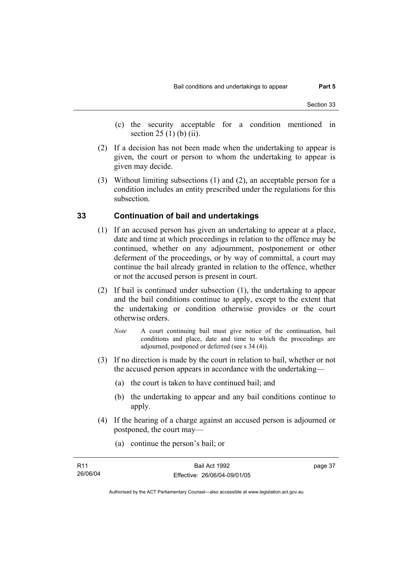- (c) the security acceptable for a condition mentioned in section 25 (1) (b) (ii).
- (2) If a decision has not been made when the undertaking to appear is given, the court or person to whom the undertaking to appear is given may decide.
- (3) Without limiting subsections (1) and (2), an acceptable person for a condition includes an entity prescribed under the regulations for this subsection.

## **33 Continuation of bail and undertakings**

- (1) If an accused person has given an undertaking to appear at a place, date and time at which proceedings in relation to the offence may be continued, whether on any adjournment, postponement or other deferment of the proceedings, or by way of committal, a court may continue the bail already granted in relation to the offence, whether or not the accused person is present in court.
- (2) If bail is continued under subsection (1), the undertaking to appear and the bail conditions continue to apply, except to the extent that the undertaking or condition otherwise provides or the court otherwise orders.
	- *Note* A court continuing bail must give notice of the continuation, bail conditions and place, date and time to which the proceedings are adjourned, postponed or deferred (see s 34 (4)).
- (3) If no direction is made by the court in relation to bail, whether or not the accused person appears in accordance with the undertaking—
	- (a) the court is taken to have continued bail; and
	- (b) the undertaking to appear and any bail conditions continue to apply.
- (4) If the hearing of a charge against an accused person is adjourned or postponed, the court may—
	- (a) continue the person's bail; or

| R <sub>11</sub> | Bail Act 1992                | page 37 |
|-----------------|------------------------------|---------|
| 26/06/04        | Effective: 26/06/04-09/01/05 |         |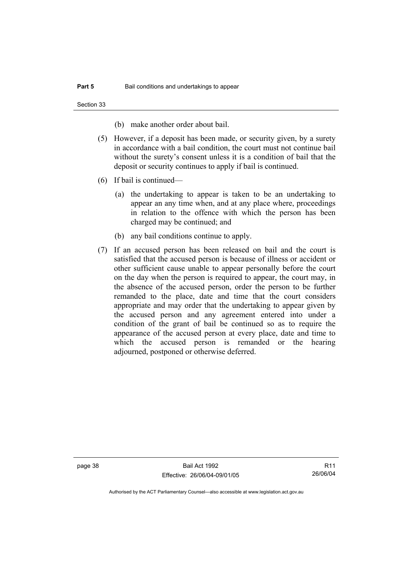Section 33

(b) make another order about bail.

- (5) However, if a deposit has been made, or security given, by a surety in accordance with a bail condition, the court must not continue bail without the surety's consent unless it is a condition of bail that the deposit or security continues to apply if bail is continued.
- (6) If bail is continued—
	- (a) the undertaking to appear is taken to be an undertaking to appear an any time when, and at any place where, proceedings in relation to the offence with which the person has been charged may be continued; and
	- (b) any bail conditions continue to apply.
- (7) If an accused person has been released on bail and the court is satisfied that the accused person is because of illness or accident or other sufficient cause unable to appear personally before the court on the day when the person is required to appear, the court may, in the absence of the accused person, order the person to be further remanded to the place, date and time that the court considers appropriate and may order that the undertaking to appear given by the accused person and any agreement entered into under a condition of the grant of bail be continued so as to require the appearance of the accused person at every place, date and time to which the accused person is remanded or the hearing adjourned, postponed or otherwise deferred.

page 38 Bail Act 1992 Effective: 26/06/04-09/01/05

R11 26/06/04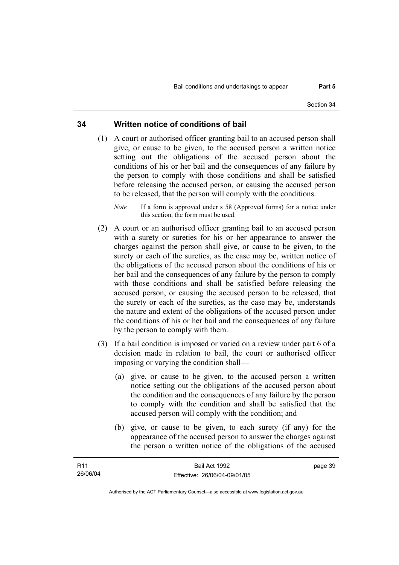## **34 Written notice of conditions of bail**

- (1) A court or authorised officer granting bail to an accused person shall give, or cause to be given, to the accused person a written notice setting out the obligations of the accused person about the conditions of his or her bail and the consequences of any failure by the person to comply with those conditions and shall be satisfied before releasing the accused person, or causing the accused person to be released, that the person will comply with the conditions.
	- *Note* If a form is approved under s 58 (Approved forms) for a notice under this section, the form must be used.
- (2) A court or an authorised officer granting bail to an accused person with a surety or sureties for his or her appearance to answer the charges against the person shall give, or cause to be given, to the surety or each of the sureties, as the case may be, written notice of the obligations of the accused person about the conditions of his or her bail and the consequences of any failure by the person to comply with those conditions and shall be satisfied before releasing the accused person, or causing the accused person to be released, that the surety or each of the sureties, as the case may be, understands the nature and extent of the obligations of the accused person under the conditions of his or her bail and the consequences of any failure by the person to comply with them.
- (3) If a bail condition is imposed or varied on a review under part 6 of a decision made in relation to bail, the court or authorised officer imposing or varying the condition shall—
	- (a) give, or cause to be given, to the accused person a written notice setting out the obligations of the accused person about the condition and the consequences of any failure by the person to comply with the condition and shall be satisfied that the accused person will comply with the condition; and
	- (b) give, or cause to be given, to each surety (if any) for the appearance of the accused person to answer the charges against the person a written notice of the obligations of the accused

| R11      | Bail Act 1992                | page 39 |
|----------|------------------------------|---------|
| 26/06/04 | Effective: 26/06/04-09/01/05 |         |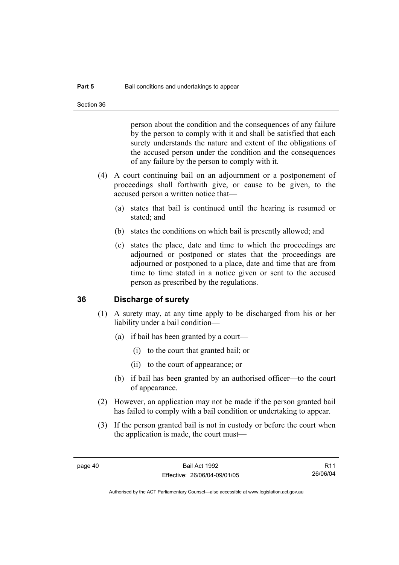person about the condition and the consequences of any failure by the person to comply with it and shall be satisfied that each surety understands the nature and extent of the obligations of the accused person under the condition and the consequences of any failure by the person to comply with it.

- (4) A court continuing bail on an adjournment or a postponement of proceedings shall forthwith give, or cause to be given, to the accused person a written notice that—
	- (a) states that bail is continued until the hearing is resumed or stated; and
	- (b) states the conditions on which bail is presently allowed; and
	- (c) states the place, date and time to which the proceedings are adjourned or postponed or states that the proceedings are adjourned or postponed to a place, date and time that are from time to time stated in a notice given or sent to the accused person as prescribed by the regulations.

## **36 Discharge of surety**

- (1) A surety may, at any time apply to be discharged from his or her liability under a bail condition—
	- (a) if bail has been granted by a court—
		- (i) to the court that granted bail; or
		- (ii) to the court of appearance; or
	- (b) if bail has been granted by an authorised officer—to the court of appearance.
- (2) However, an application may not be made if the person granted bail has failed to comply with a bail condition or undertaking to appear.
- (3) If the person granted bail is not in custody or before the court when the application is made, the court must—

R11 26/06/04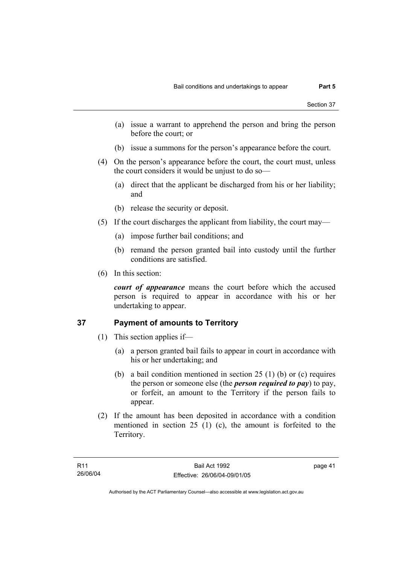- (a) issue a warrant to apprehend the person and bring the person before the court; or
- (b) issue a summons for the person's appearance before the court.
- (4) On the person's appearance before the court, the court must, unless the court considers it would be unjust to do so—
	- (a) direct that the applicant be discharged from his or her liability; and
	- (b) release the security or deposit.
- (5) If the court discharges the applicant from liability, the court may—
	- (a) impose further bail conditions; and
	- (b) remand the person granted bail into custody until the further conditions are satisfied.
- (6) In this section:

*court of appearance* means the court before which the accused person is required to appear in accordance with his or her undertaking to appear.

## **37 Payment of amounts to Territory**

- (1) This section applies if—
	- (a) a person granted bail fails to appear in court in accordance with his or her undertaking; and
	- (b) a bail condition mentioned in section 25 (1) (b) or (c) requires the person or someone else (the *person required to pay*) to pay, or forfeit, an amount to the Territory if the person fails to appear.
- (2) If the amount has been deposited in accordance with a condition mentioned in section 25 (1) (c), the amount is forfeited to the Territory.

page 41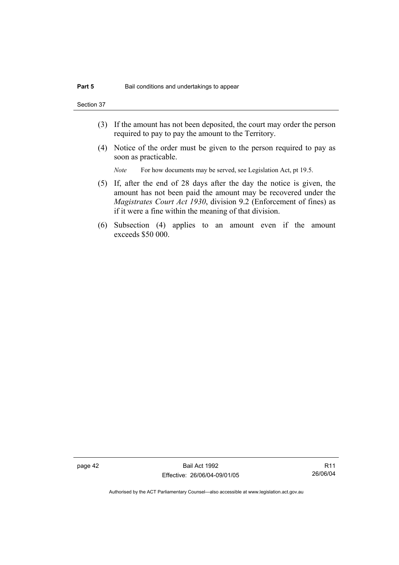Section 37

- (3) If the amount has not been deposited, the court may order the person required to pay to pay the amount to the Territory.
- (4) Notice of the order must be given to the person required to pay as soon as practicable.

*Note* For how documents may be served, see Legislation Act, pt 19.5.

- (5) If, after the end of 28 days after the day the notice is given, the amount has not been paid the amount may be recovered under the *Magistrates Court Act 1930*, division 9.2 (Enforcement of fines) as if it were a fine within the meaning of that division.
- (6) Subsection (4) applies to an amount even if the amount exceeds \$50 000.

page 42 Bail Act 1992 Effective: 26/06/04-09/01/05

R11 26/06/04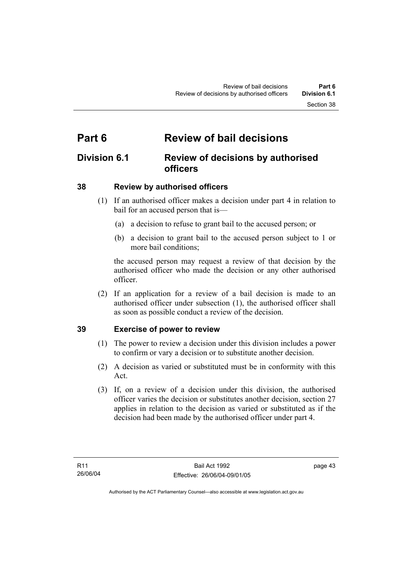## **Part 6 Review of bail decisions**

## **Division 6.1 Review of decisions by authorised officers**

## **38 Review by authorised officers**

- (1) If an authorised officer makes a decision under part 4 in relation to bail for an accused person that is—
	- (a) a decision to refuse to grant bail to the accused person; or
	- (b) a decision to grant bail to the accused person subject to 1 or more bail conditions;

the accused person may request a review of that decision by the authorised officer who made the decision or any other authorised officer.

 (2) If an application for a review of a bail decision is made to an authorised officer under subsection (1), the authorised officer shall as soon as possible conduct a review of the decision.

## **39 Exercise of power to review**

- (1) The power to review a decision under this division includes a power to confirm or vary a decision or to substitute another decision.
- (2) A decision as varied or substituted must be in conformity with this Act.
- (3) If, on a review of a decision under this division, the authorised officer varies the decision or substitutes another decision, section 27 applies in relation to the decision as varied or substituted as if the decision had been made by the authorised officer under part 4.

page 43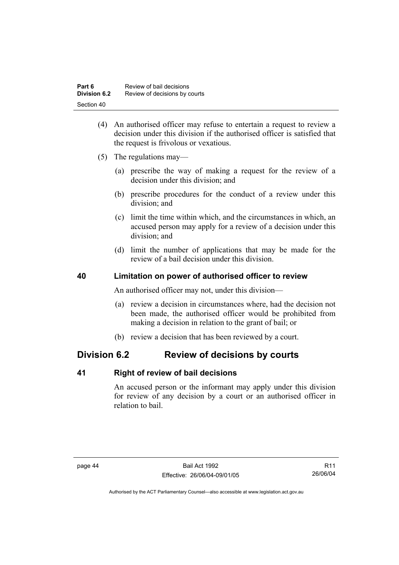| Part 6              | Review of bail decisions      |
|---------------------|-------------------------------|
| <b>Division 6.2</b> | Review of decisions by courts |
| Section 40          |                               |

- (4) An authorised officer may refuse to entertain a request to review a decision under this division if the authorised officer is satisfied that the request is frivolous or vexatious.
- (5) The regulations may—
	- (a) prescribe the way of making a request for the review of a decision under this division; and
	- (b) prescribe procedures for the conduct of a review under this division; and
	- (c) limit the time within which, and the circumstances in which, an accused person may apply for a review of a decision under this division; and
	- (d) limit the number of applications that may be made for the review of a bail decision under this division.

## **40 Limitation on power of authorised officer to review**

An authorised officer may not, under this division—

- (a) review a decision in circumstances where, had the decision not been made, the authorised officer would be prohibited from making a decision in relation to the grant of bail; or
- (b) review a decision that has been reviewed by a court.

## **Division 6.2 Review of decisions by courts**

## **41 Right of review of bail decisions**

An accused person or the informant may apply under this division for review of any decision by a court or an authorised officer in relation to bail.

R11 26/06/04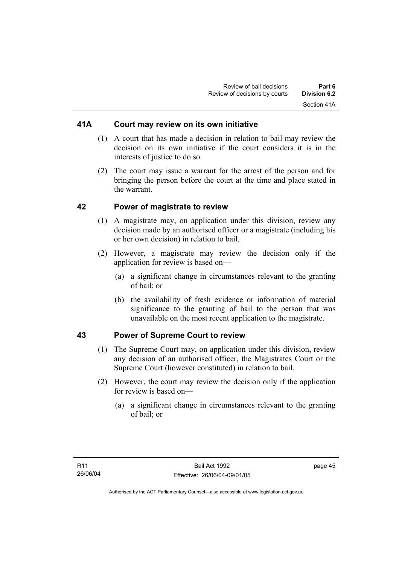## **41A Court may review on its own initiative**

- (1) A court that has made a decision in relation to bail may review the decision on its own initiative if the court considers it is in the interests of justice to do so.
- (2) The court may issue a warrant for the arrest of the person and for bringing the person before the court at the time and place stated in the warrant.

## **42 Power of magistrate to review**

- (1) A magistrate may, on application under this division, review any decision made by an authorised officer or a magistrate (including his or her own decision) in relation to bail.
- (2) However, a magistrate may review the decision only if the application for review is based on—
	- (a) a significant change in circumstances relevant to the granting of bail; or
	- (b) the availability of fresh evidence or information of material significance to the granting of bail to the person that was unavailable on the most recent application to the magistrate.

## **43 Power of Supreme Court to review**

- (1) The Supreme Court may, on application under this division, review any decision of an authorised officer, the Magistrates Court or the Supreme Court (however constituted) in relation to bail.
- (2) However, the court may review the decision only if the application for review is based on—
	- (a) a significant change in circumstances relevant to the granting of bail; or

page 45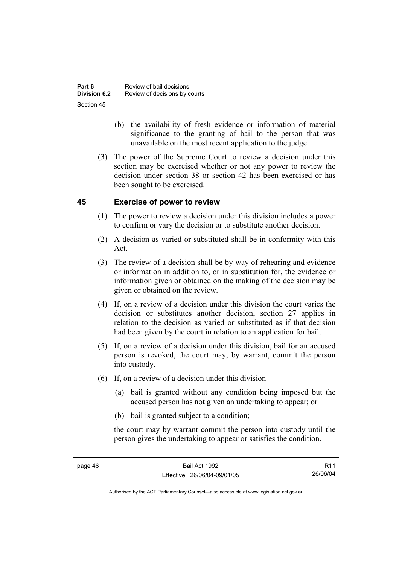| Part 6       | Review of bail decisions      |
|--------------|-------------------------------|
| Division 6.2 | Review of decisions by courts |
| Section 45   |                               |

- (b) the availability of fresh evidence or information of material significance to the granting of bail to the person that was unavailable on the most recent application to the judge.
- (3) The power of the Supreme Court to review a decision under this section may be exercised whether or not any power to review the decision under section 38 or section 42 has been exercised or has been sought to be exercised.

## **45 Exercise of power to review**

- (1) The power to review a decision under this division includes a power to confirm or vary the decision or to substitute another decision.
- (2) A decision as varied or substituted shall be in conformity with this Act.
- (3) The review of a decision shall be by way of rehearing and evidence or information in addition to, or in substitution for, the evidence or information given or obtained on the making of the decision may be given or obtained on the review.
- (4) If, on a review of a decision under this division the court varies the decision or substitutes another decision, section 27 applies in relation to the decision as varied or substituted as if that decision had been given by the court in relation to an application for bail.
- (5) If, on a review of a decision under this division, bail for an accused person is revoked, the court may, by warrant, commit the person into custody.
- (6) If, on a review of a decision under this division—
	- (a) bail is granted without any condition being imposed but the accused person has not given an undertaking to appear; or
	- (b) bail is granted subject to a condition;

the court may by warrant commit the person into custody until the person gives the undertaking to appear or satisfies the condition.

R11 26/06/04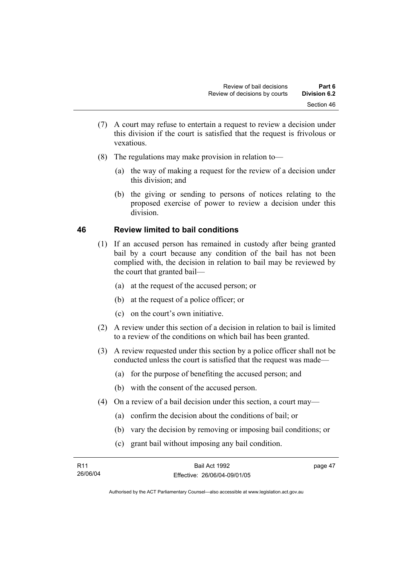- (7) A court may refuse to entertain a request to review a decision under this division if the court is satisfied that the request is frivolous or vexatious.
- (8) The regulations may make provision in relation to—
	- (a) the way of making a request for the review of a decision under this division; and
	- (b) the giving or sending to persons of notices relating to the proposed exercise of power to review a decision under this division.

## **46 Review limited to bail conditions**

- (1) If an accused person has remained in custody after being granted bail by a court because any condition of the bail has not been complied with, the decision in relation to bail may be reviewed by the court that granted bail—
	- (a) at the request of the accused person; or
	- (b) at the request of a police officer; or
	- (c) on the court's own initiative.
- (2) A review under this section of a decision in relation to bail is limited to a review of the conditions on which bail has been granted.
- (3) A review requested under this section by a police officer shall not be conducted unless the court is satisfied that the request was made—
	- (a) for the purpose of benefiting the accused person; and
	- (b) with the consent of the accused person.
- (4) On a review of a bail decision under this section, a court may—
	- (a) confirm the decision about the conditions of bail; or
	- (b) vary the decision by removing or imposing bail conditions; or
	- (c) grant bail without imposing any bail condition.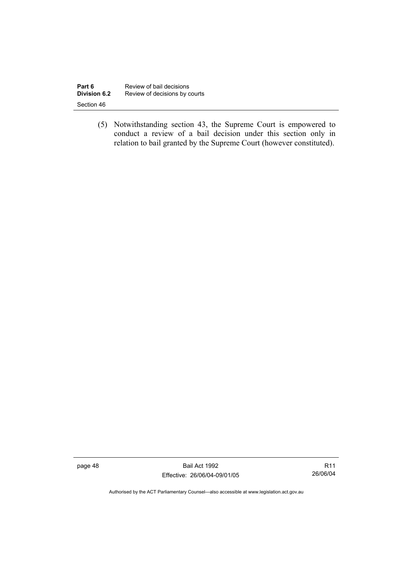| Part 6       | Review of bail decisions      |
|--------------|-------------------------------|
| Division 6.2 | Review of decisions by courts |
| Section 46   |                               |

 (5) Notwithstanding section 43, the Supreme Court is empowered to conduct a review of a bail decision under this section only in relation to bail granted by the Supreme Court (however constituted).

page 48 Bail Act 1992 Effective: 26/06/04-09/01/05

R11 26/06/04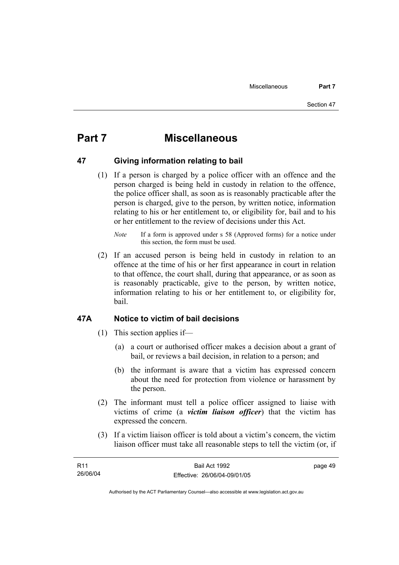## **Part 7 Miscellaneous**

## **47 Giving information relating to bail**

 (1) If a person is charged by a police officer with an offence and the person charged is being held in custody in relation to the offence, the police officer shall, as soon as is reasonably practicable after the person is charged, give to the person, by written notice, information relating to his or her entitlement to, or eligibility for, bail and to his or her entitlement to the review of decisions under this Act.

 (2) If an accused person is being held in custody in relation to an offence at the time of his or her first appearance in court in relation to that offence, the court shall, during that appearance, or as soon as is reasonably practicable, give to the person, by written notice, information relating to his or her entitlement to, or eligibility for, bail.

## **47A Notice to victim of bail decisions**

- (1) This section applies if—
	- (a) a court or authorised officer makes a decision about a grant of bail, or reviews a bail decision, in relation to a person; and
	- (b) the informant is aware that a victim has expressed concern about the need for protection from violence or harassment by the person.
- (2) The informant must tell a police officer assigned to liaise with victims of crime (a *victim liaison officer*) that the victim has expressed the concern.
- (3) If a victim liaison officer is told about a victim's concern, the victim liaison officer must take all reasonable steps to tell the victim (or, if

| R11      | Bail Act 1992                | page 49 |
|----------|------------------------------|---------|
| 26/06/04 | Effective: 26/06/04-09/01/05 |         |

*Note* If a form is approved under s 58 (Approved forms) for a notice under this section, the form must be used.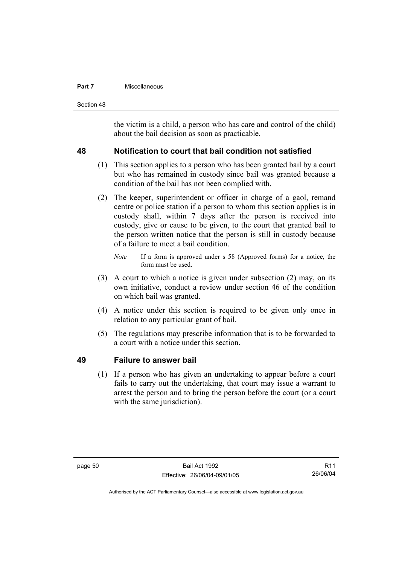### **Part 7 Miscellaneous**

Section 48

the victim is a child, a person who has care and control of the child) about the bail decision as soon as practicable.

## **48 Notification to court that bail condition not satisfied**

- (1) This section applies to a person who has been granted bail by a court but who has remained in custody since bail was granted because a condition of the bail has not been complied with.
- (2) The keeper, superintendent or officer in charge of a gaol, remand centre or police station if a person to whom this section applies is in custody shall, within 7 days after the person is received into custody, give or cause to be given, to the court that granted bail to the person written notice that the person is still in custody because of a failure to meet a bail condition.
	- *Note* If a form is approved under s 58 (Approved forms) for a notice, the form must be used.
- (3) A court to which a notice is given under subsection (2) may, on its own initiative, conduct a review under section 46 of the condition on which bail was granted.
- (4) A notice under this section is required to be given only once in relation to any particular grant of bail.
- (5) The regulations may prescribe information that is to be forwarded to a court with a notice under this section.

## **49 Failure to answer bail**

 (1) If a person who has given an undertaking to appear before a court fails to carry out the undertaking, that court may issue a warrant to arrest the person and to bring the person before the court (or a court with the same jurisdiction).

R11 26/06/04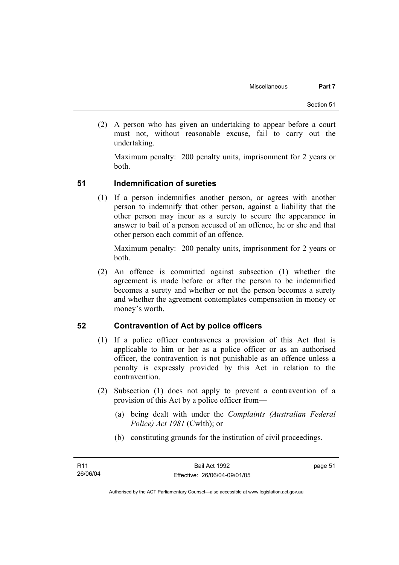(2) A person who has given an undertaking to appear before a court must not, without reasonable excuse, fail to carry out the undertaking.

Maximum penalty: 200 penalty units, imprisonment for 2 years or both.

## **51 Indemnification of sureties**

 (1) If a person indemnifies another person, or agrees with another person to indemnify that other person, against a liability that the other person may incur as a surety to secure the appearance in answer to bail of a person accused of an offence, he or she and that other person each commit of an offence.

Maximum penalty: 200 penalty units, imprisonment for 2 years or both.

 (2) An offence is committed against subsection (1) whether the agreement is made before or after the person to be indemnified becomes a surety and whether or not the person becomes a surety and whether the agreement contemplates compensation in money or money's worth.

## **52 Contravention of Act by police officers**

- (1) If a police officer contravenes a provision of this Act that is applicable to him or her as a police officer or as an authorised officer, the contravention is not punishable as an offence unless a penalty is expressly provided by this Act in relation to the contravention.
- (2) Subsection (1) does not apply to prevent a contravention of a provision of this Act by a police officer from—
	- (a) being dealt with under the *Complaints (Australian Federal Police) Act 1981* (Cwlth); or
	- (b) constituting grounds for the institution of civil proceedings.

page 51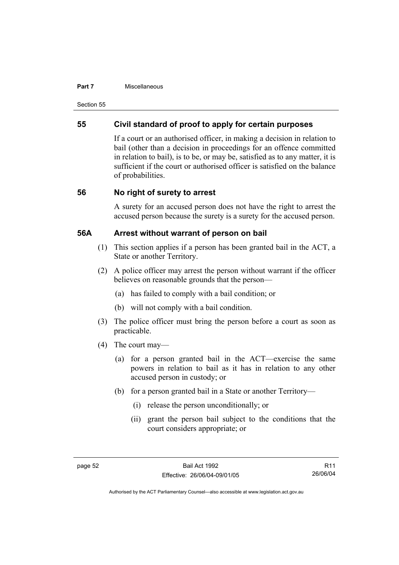#### **Part 7 Miscellaneous**

Section 55

## **55 Civil standard of proof to apply for certain purposes**

If a court or an authorised officer, in making a decision in relation to bail (other than a decision in proceedings for an offence committed in relation to bail), is to be, or may be, satisfied as to any matter, it is sufficient if the court or authorised officer is satisfied on the balance of probabilities.

## **56 No right of surety to arrest**

A surety for an accused person does not have the right to arrest the accused person because the surety is a surety for the accused person.

## **56A Arrest without warrant of person on bail**

- (1) This section applies if a person has been granted bail in the ACT, a State or another Territory.
- (2) A police officer may arrest the person without warrant if the officer believes on reasonable grounds that the person—
	- (a) has failed to comply with a bail condition; or
	- (b) will not comply with a bail condition.
- (3) The police officer must bring the person before a court as soon as practicable.
- (4) The court may—
	- (a) for a person granted bail in the ACT—exercise the same powers in relation to bail as it has in relation to any other accused person in custody; or
	- (b) for a person granted bail in a State or another Territory—
		- (i) release the person unconditionally; or
		- (ii) grant the person bail subject to the conditions that the court considers appropriate; or

R11 26/06/04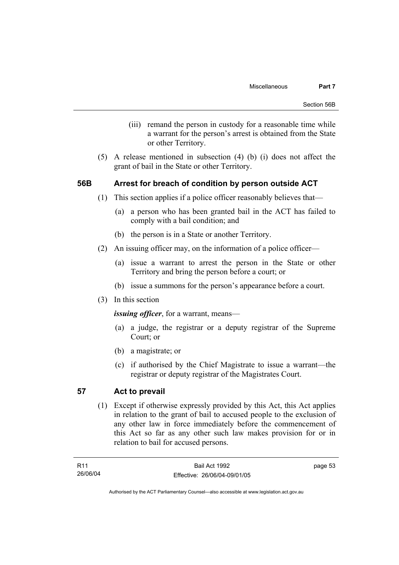- (iii) remand the person in custody for a reasonable time while a warrant for the person's arrest is obtained from the State or other Territory.
- (5) A release mentioned in subsection (4) (b) (i) does not affect the grant of bail in the State or other Territory.

## **56B Arrest for breach of condition by person outside ACT**

- (1) This section applies if a police officer reasonably believes that—
	- (a) a person who has been granted bail in the ACT has failed to comply with a bail condition; and
	- (b) the person is in a State or another Territory.
- (2) An issuing officer may, on the information of a police officer—
	- (a) issue a warrant to arrest the person in the State or other Territory and bring the person before a court; or
	- (b) issue a summons for the person's appearance before a court.
- (3) In this section

*issuing officer*, for a warrant, means—

- (a) a judge, the registrar or a deputy registrar of the Supreme Court; or
- (b) a magistrate; or
- (c) if authorised by the Chief Magistrate to issue a warrant—the registrar or deputy registrar of the Magistrates Court.

## **57 Act to prevail**

 (1) Except if otherwise expressly provided by this Act, this Act applies in relation to the grant of bail to accused people to the exclusion of any other law in force immediately before the commencement of this Act so far as any other such law makes provision for or in relation to bail for accused persons.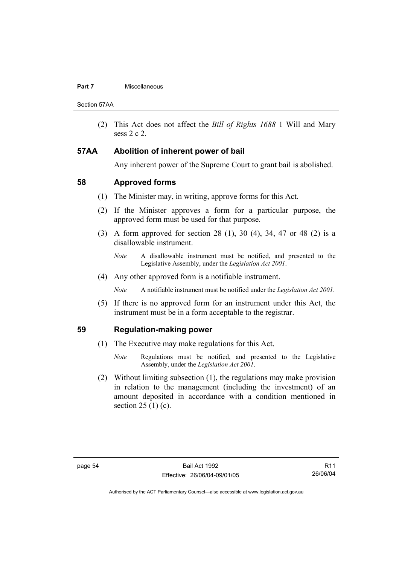### **Part 7 Miscellaneous**

Section 57AA

 (2) This Act does not affect the *Bill of Rights 1688* 1 Will and Mary sess 2 c 2.

## **57AA Abolition of inherent power of bail**

Any inherent power of the Supreme Court to grant bail is abolished.

## **58 Approved forms**

- (1) The Minister may, in writing, approve forms for this Act.
- (2) If the Minister approves a form for a particular purpose, the approved form must be used for that purpose.
- (3) A form approved for section 28 (1), 30 (4), 34, 47 or 48 (2) is a disallowable instrument.
	- *Note* A disallowable instrument must be notified, and presented to the Legislative Assembly, under the *Legislation Act 2001*.
- (4) Any other approved form is a notifiable instrument.

*Note* A notifiable instrument must be notified under the *Legislation Act 2001*.

 (5) If there is no approved form for an instrument under this Act, the instrument must be in a form acceptable to the registrar.

## **59 Regulation-making power**

- (1) The Executive may make regulations for this Act.
	- *Note* Regulations must be notified, and presented to the Legislative Assembly, under the *Legislation Act 2001*.
- (2) Without limiting subsection (1), the regulations may make provision in relation to the management (including the investment) of an amount deposited in accordance with a condition mentioned in section  $25(1)(c)$ .

R11 26/06/04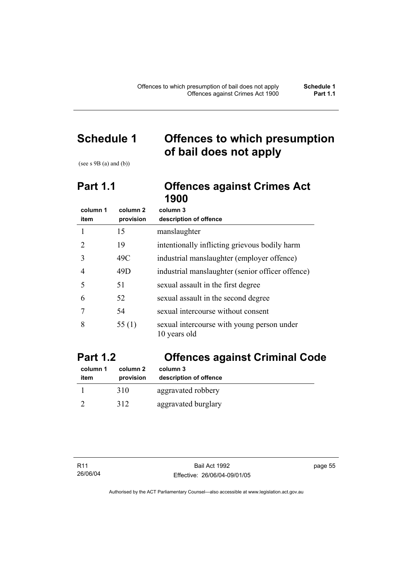# **Schedule 1 Offences to which presumption of bail does not apply**

(see s  $9B$  (a) and (b))

## **Part 1.1 Offences against Crimes Act 1900**

| column 1 | column 2  | column 3                                                   |
|----------|-----------|------------------------------------------------------------|
| item     | provision | description of offence                                     |
|          | 15        | manslaughter                                               |
| 2        | 19        | intentionally inflicting grievous bodily harm              |
| 3        | 49C       | industrial manslaughter (employer offence)                 |
| 4        | 49D       | industrial manslaughter (senior officer offence)           |
| 5        | 51        | sexual assault in the first degree                         |
| 6        | 52        | sexual assault in the second degree                        |
| 7        | 54        | sexual intercourse without consent                         |
| 8        | 55 $(1)$  | sexual intercourse with young person under<br>10 years old |

# **Part 1.2 Offences against Criminal Code**

| column 1<br>item | column 2<br>provision | column 3<br>description of offence |  |
|------------------|-----------------------|------------------------------------|--|
|                  |                       |                                    |  |
|                  | 310                   | aggravated robbery                 |  |
|                  | 312                   | aggravated burglary                |  |

page 55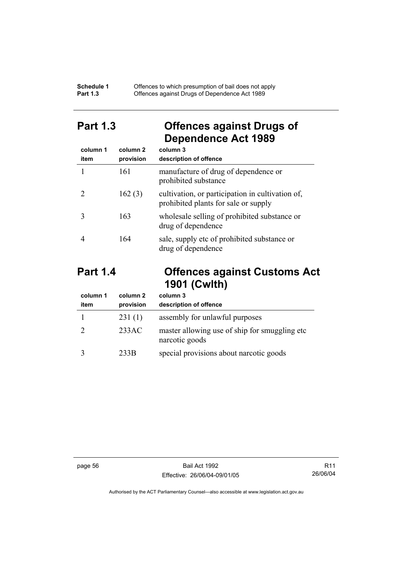### **Schedule 1** Offences to which presumption of bail does not apply **Part 1.3 C** Offences against Drugs of Dependence Act 1989

## **Part 1.3 Offences against Drugs of Dependence Act 1989**

| column 1<br>item | column 2<br>provision | column 3<br>description of offence                                                       |
|------------------|-----------------------|------------------------------------------------------------------------------------------|
|                  | 161                   | manufacture of drug of dependence or<br>prohibited substance                             |
|                  | 162(3)                | cultivation, or participation in cultivation of,<br>prohibited plants for sale or supply |
|                  | 163                   | wholesale selling of prohibited substance or<br>drug of dependence                       |
|                  | 164                   | sale, supply etc of prohibited substance or<br>drug of dependence                        |

## **Part 1.4 Offences against Customs Act 1901 (Cwlth)**

| column 1<br>item | column 2<br>provision | column 3<br>description of offence                               |
|------------------|-----------------------|------------------------------------------------------------------|
|                  | 231(1)                | assembly for unlawful purposes                                   |
|                  | 233AC                 | master allowing use of ship for smuggling etc.<br>narcotic goods |
|                  | 233B                  | special provisions about narcotic goods                          |

page 56 Bail Act 1992 Effective: 26/06/04-09/01/05

R11 26/06/04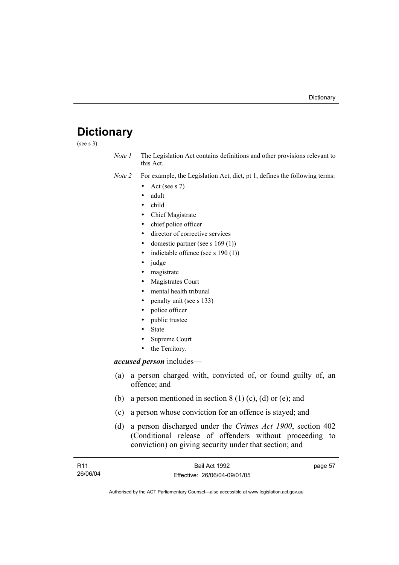# **Dictionary**

(see s 3)

*Note 1* The Legislation Act contains definitions and other provisions relevant to this Act.

*Note 2* For example, the Legislation Act, dict, pt 1, defines the following terms:

- Act (see s  $7$ )
- adult
- child
- Chief Magistrate
- chief police officer
- director of corrective services
- domestic partner (see s  $169(1)$ )
- indictable offence (see s  $190(1)$ )
- judge
- magistrate
- Magistrates Court
- mental health tribunal
- penalty unit (see s 133)
- police officer
- public trustee
- **State**
- Supreme Court
- the Territory.

### *accused person* includes—

- (a) a person charged with, convicted of, or found guilty of, an offence; and
- (b) a person mentioned in section  $8(1)(c)$ , (d) or (e); and
- (c) a person whose conviction for an offence is stayed; and
- (d) a person discharged under the *Crimes Act 1900*, section 402 (Conditional release of offenders without proceeding to conviction) on giving security under that section; and

| R11      | Bail Act 1992                | page 57 |
|----------|------------------------------|---------|
| 26/06/04 | Effective: 26/06/04-09/01/05 |         |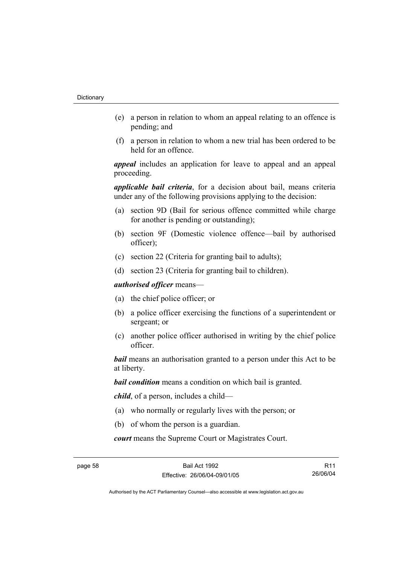- (e) a person in relation to whom an appeal relating to an offence is pending; and
- (f) a person in relation to whom a new trial has been ordered to be held for an offence.

*appeal* includes an application for leave to appeal and an appeal proceeding.

*applicable bail criteria*, for a decision about bail, means criteria under any of the following provisions applying to the decision:

- (a) section 9D (Bail for serious offence committed while charge for another is pending or outstanding);
- (b) section 9F (Domestic violence offence—bail by authorised officer);
- (c) section 22 (Criteria for granting bail to adults);
- (d) section 23 (Criteria for granting bail to children).

*authorised officer* means—

- (a) the chief police officer; or
- (b) a police officer exercising the functions of a superintendent or sergeant; or
- (c) another police officer authorised in writing by the chief police officer.

*bail* means an authorisation granted to a person under this Act to be at liberty.

*bail condition* means a condition on which bail is granted.

*child*, of a person, includes a child—

- (a) who normally or regularly lives with the person; or
- (b) of whom the person is a guardian.

*court* means the Supreme Court or Magistrates Court.

R11 26/06/04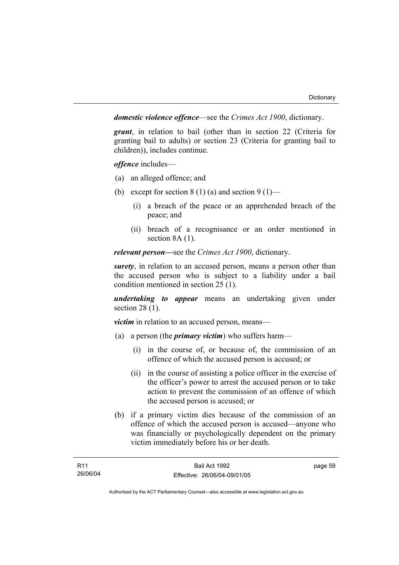*domestic violence offence*—see the *Crimes Act 1900*, dictionary.

*grant*, in relation to bail (other than in section 22 (Criteria for granting bail to adults) or section 23 (Criteria for granting bail to children)), includes continue.

*offence* includes—

- (a) an alleged offence; and
- (b) except for section  $8(1)(a)$  and section  $9(1)$ 
	- (i) a breach of the peace or an apprehended breach of the peace; and
	- (ii) breach of a recognisance or an order mentioned in section 8A (1).

*relevant person—*see the *Crimes Act 1900*, dictionary.

*surety*, in relation to an accused person, means a person other than the accused person who is subject to a liability under a bail condition mentioned in section 25 (1).

*undertaking to appear* means an undertaking given under section 28 (1).

*victim* in relation to an accused person, means—

- (a) a person (the *primary victim*) who suffers harm—
	- (i) in the course of, or because of, the commission of an offence of which the accused person is accused; or
	- (ii) in the course of assisting a police officer in the exercise of the officer's power to arrest the accused person or to take action to prevent the commission of an offence of which the accused person is accused; or
- (b) if a primary victim dies because of the commission of an offence of which the accused person is accused—anyone who was financially or psychologically dependent on the primary victim immediately before his or her death.

page 59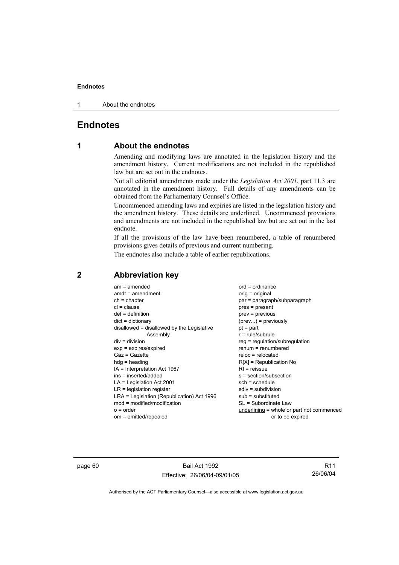1 About the endnotes

## **Endnotes**

## **1 About the endnotes**

Amending and modifying laws are annotated in the legislation history and the amendment history. Current modifications are not included in the republished law but are set out in the endnotes.

Not all editorial amendments made under the *Legislation Act 2001*, part 11.3 are annotated in the amendment history. Full details of any amendments can be obtained from the Parliamentary Counsel's Office.

Uncommenced amending laws and expiries are listed in the legislation history and the amendment history. These details are underlined. Uncommenced provisions and amendments are not included in the republished law but are set out in the last endnote.

If all the provisions of the law have been renumbered, a table of renumbered provisions gives details of previous and current numbering.

The endnotes also include a table of earlier republications.

| $am = amended$<br>$amdt = amendment$<br>$ch = chapter$<br>$cl = clause$<br>$def = definition$<br>$dict = dictionary$<br>disallowed = disallowed by the Legislative<br>Assembly<br>$div = division$<br>$exp = expires/expired$<br>$Gaz = Gazette$<br>$hda =$ heading<br>IA = Interpretation Act 1967<br>$ins = inserted/added$<br>$LA =$ Legislation Act 2001<br>$LR =$ legislation register<br>LRA = Legislation (Republication) Act 1996<br>$mod = modified/modification$<br>$o = order$ | $ord = ordinance$<br>orig = original<br>par = paragraph/subparagraph<br>$pres = present$<br>$prev = previous$<br>$(\text{prev})$ = previously<br>$pt = part$<br>$r = rule/subrule$<br>reg = regulation/subregulation<br>$renum = renumbered$<br>$reloc = relocated$<br>$R[X]$ = Republication No<br>$RI = reissue$<br>s = section/subsection<br>$sch = schedule$<br>$sdiv = subdivision$<br>$sub =$ substituted<br>SL = Subordinate Law<br>underlining = whole or part not commenced |
|-------------------------------------------------------------------------------------------------------------------------------------------------------------------------------------------------------------------------------------------------------------------------------------------------------------------------------------------------------------------------------------------------------------------------------------------------------------------------------------------|--------------------------------------------------------------------------------------------------------------------------------------------------------------------------------------------------------------------------------------------------------------------------------------------------------------------------------------------------------------------------------------------------------------------------------------------------------------------------------------|
| om = omitted/repealed                                                                                                                                                                                                                                                                                                                                                                                                                                                                     | or to be expired                                                                                                                                                                                                                                                                                                                                                                                                                                                                     |
|                                                                                                                                                                                                                                                                                                                                                                                                                                                                                           |                                                                                                                                                                                                                                                                                                                                                                                                                                                                                      |

## **2 Abbreviation key**

page 60 Bail Act 1992 Effective: 26/06/04-09/01/05

R11 26/06/04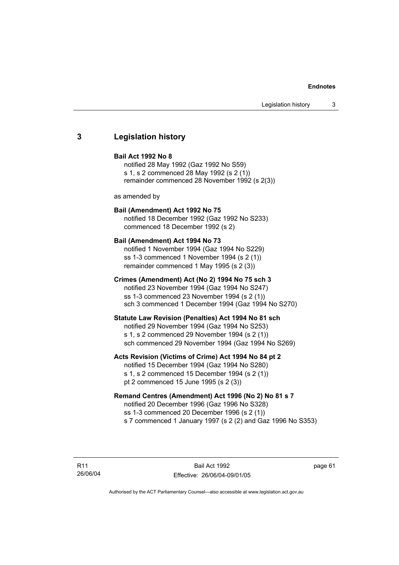### **3 Legislation history**

### **Bail Act 1992 No 8**

notified 28 May 1992 (Gaz 1992 No S59) s 1, s 2 commenced 28 May 1992 (s 2 (1)) remainder commenced 28 November 1992 (s 2(3))

as amended by

### **Bail (Amendment) Act 1992 No 75**

notified 18 December 1992 (Gaz 1992 No S233) commenced 18 December 1992 (s 2)

### **Bail (Amendment) Act 1994 No 73**

notified 1 November 1994 (Gaz 1994 No S229) ss 1-3 commenced 1 November 1994 (s 2 (1)) remainder commenced 1 May 1995 (s 2 (3))

### **Crimes (Amendment) Act (No 2) 1994 No 75 sch 3**

notified 23 November 1994 (Gaz 1994 No S247) ss 1-3 commenced 23 November 1994 (s 2 (1)) sch 3 commenced 1 December 1994 (Gaz 1994 No S270)

### **Statute Law Revision (Penalties) Act 1994 No 81 sch**

notified 29 November 1994 (Gaz 1994 No S253) s 1, s 2 commenced 29 November 1994 (s 2 (1)) sch commenced 29 November 1994 (Gaz 1994 No S269)

### **Acts Revision (Victims of Crime) Act 1994 No 84 pt 2**

notified 15 December 1994 (Gaz 1994 No S280) s 1, s 2 commenced 15 December 1994 (s 2 (1)) pt 2 commenced 15 June 1995 (s 2 (3))

### **Remand Centres (Amendment) Act 1996 (No 2) No 81 s 7**

notified 20 December 1996 (Gaz 1996 No S328) ss 1-3 commenced 20 December 1996 (s 2 (1)) s 7 commenced 1 January 1997 (s 2 (2) and Gaz 1996 No S353)

R11 26/06/04

Bail Act 1992 Effective: 26/06/04-09/01/05 page 61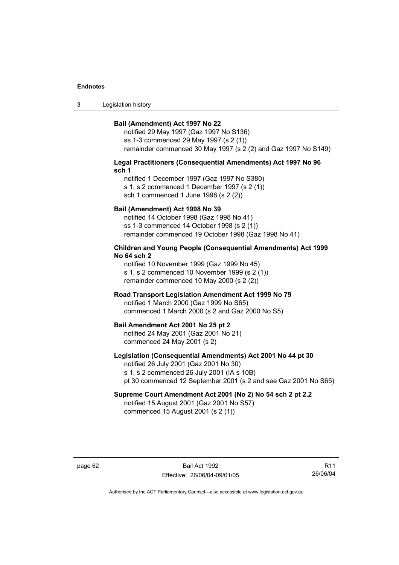3 Legislation history

### **Bail (Amendment) Act 1997 No 22**

notified 29 May 1997 (Gaz 1997 No S136) ss 1-3 commenced 29 May 1997 (s 2 (1)) remainder commenced 30 May 1997 (s 2 (2) and Gaz 1997 No S149)

### **Legal Practitioners (Consequential Amendments) Act 1997 No 96 sch 1**

notified 1 December 1997 (Gaz 1997 No S380) s 1, s 2 commenced 1 December 1997 (s 2 (1)) sch 1 commenced 1 June 1998 (s 2 (2))

### **Bail (Amendment) Act 1998 No 39**

notified 14 October 1998 (Gaz 1998 No 41) ss 1-3 commenced 14 October 1998 (s 2 (1)) remainder commenced 19 October 1998 (Gaz 1998 No 41)

### **Children and Young People (Consequential Amendments) Act 1999 No 64 sch 2**

notified 10 November 1999 (Gaz 1999 No 45) s 1, s 2 commenced 10 November 1999 (s 2 (1)) remainder commenced 10 May 2000 (s 2 (2))

### **Road Transport Legislation Amendment Act 1999 No 79**

notified 1 March 2000 (Gaz 1999 No S65) commenced 1 March 2000 (s 2 and Gaz 2000 No S5)

### **Bail Amendment Act 2001 No 25 pt 2**

notified 24 May 2001 (Gaz 2001 No 21) commenced 24 May 2001 (s 2)

### **Legislation (Consequential Amendments) Act 2001 No 44 pt 30**

notified 26 July 2001 (Gaz 2001 No 30) s 1, s 2 commenced 26 July 2001 (IA s 10B) pt 30 commenced 12 September 2001 (s 2 and see Gaz 2001 No S65)

## **Supreme Court Amendment Act 2001 (No 2) No 54 sch 2 pt 2.2**

notified 15 August 2001 (Gaz 2001 No S57) commenced 15 August 2001 (s 2 (1))

page 62 Bail Act 1992 Effective: 26/06/04-09/01/05

R11 26/06/04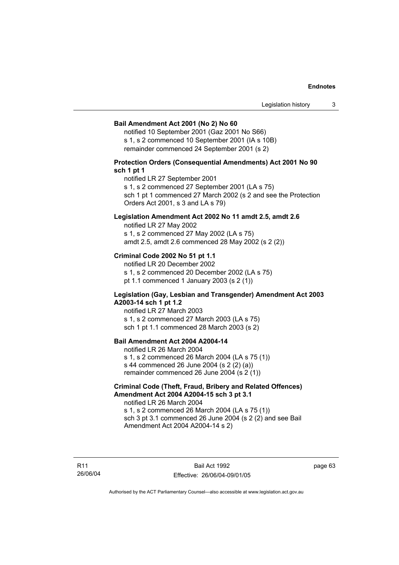### **Bail Amendment Act 2001 (No 2) No 60**

notified 10 September 2001 (Gaz 2001 No S66) s 1, s 2 commenced 10 September 2001 (IA s 10B) remainder commenced 24 September 2001 (s 2)

### **Protection Orders (Consequential Amendments) Act 2001 No 90 sch 1 pt 1**

notified LR 27 September 2001

s 1, s 2 commenced 27 September 2001 (LA s 75)

sch 1 pt 1 commenced 27 March 2002 (s 2 and see the Protection Orders Act 2001, s 3 and LA s 79)

### **Legislation Amendment Act 2002 No 11 amdt 2.5, amdt 2.6**

notified LR 27 May 2002 s 1, s 2 commenced 27 May 2002 (LA s 75) amdt 2.5, amdt 2.6 commenced 28 May 2002 (s 2 (2))

### **Criminal Code 2002 No 51 pt 1.1**

notified LR 20 December 2002 s 1, s 2 commenced 20 December 2002 (LA s 75) pt 1.1 commenced 1 January 2003 (s 2 (1))

### **Legislation (Gay, Lesbian and Transgender) Amendment Act 2003 A2003-14 sch 1 pt 1.2**

notified LR 27 March 2003 s 1, s 2 commenced 27 March 2003 (LA s 75) sch 1 pt 1.1 commenced 28 March 2003 (s 2)

### **Bail Amendment Act 2004 A2004-14**

notified LR 26 March 2004 s 1, s 2 commenced 26 March 2004 (LA s 75 (1)) s 44 commenced 26 June 2004 (s 2 (2) (a)) remainder commenced 26 June 2004 (s 2 (1))

### **Criminal Code (Theft, Fraud, Bribery and Related Offences) Amendment Act 2004 A2004-15 sch 3 pt 3.1**

notified LR 26 March 2004 s 1, s 2 commenced 26 March 2004 (LA s 75 (1)) sch 3 pt 3.1 commenced 26 June 2004 (s 2 (2) and see Bail Amendment Act 2004 A2004-14 s 2)

R11 26/06/04 page 63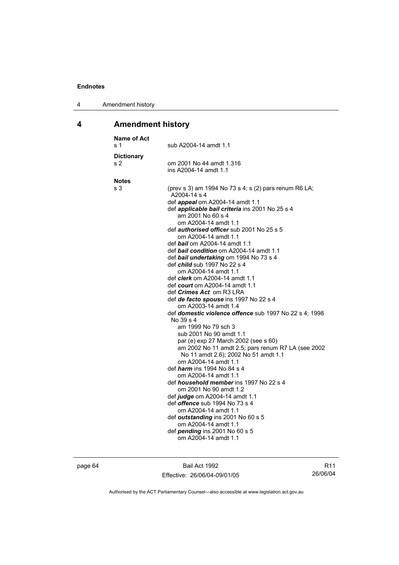| 4 | Amendment history |
|---|-------------------|
|---|-------------------|

## **4 Amendment history**

| <b>Name of Act</b><br>s 1           | sub A2004-14 amdt 1.1                                                                                                                                                                                                                                                                                                                                                                                                                                                                                                                                                                                                                                                                                                                                                                                                                                                                                                                                                                                                                                                                                                                                                                                                                                                                                                        |
|-------------------------------------|------------------------------------------------------------------------------------------------------------------------------------------------------------------------------------------------------------------------------------------------------------------------------------------------------------------------------------------------------------------------------------------------------------------------------------------------------------------------------------------------------------------------------------------------------------------------------------------------------------------------------------------------------------------------------------------------------------------------------------------------------------------------------------------------------------------------------------------------------------------------------------------------------------------------------------------------------------------------------------------------------------------------------------------------------------------------------------------------------------------------------------------------------------------------------------------------------------------------------------------------------------------------------------------------------------------------------|
| <b>Dictionary</b><br>s <sub>2</sub> | om 2001 No 44 amdt 1.316<br>ins A2004-14 amdt 1.1                                                                                                                                                                                                                                                                                                                                                                                                                                                                                                                                                                                                                                                                                                                                                                                                                                                                                                                                                                                                                                                                                                                                                                                                                                                                            |
| <b>Notes</b><br>s 3                 | (prev s 3) am 1994 No 73 s 4; s (2) pars renum R6 LA;<br>A2004-14 s 4<br>def appeal om A2004-14 amdt 1.1<br>def applicable bail criteria ins 2001 No 25 s 4<br>am 2001 No 60 s 4<br>om A2004-14 amdt 1.1<br>def <i>authorised officer</i> sub 2001 No 25 s 5<br>om A2004-14 amdt 1.1<br>def bail om A2004-14 amdt 1.1<br>def bail condition om A2004-14 amdt 1.1<br>def bail undertaking om 1994 No 73 s 4<br>def <i>child</i> sub 1997 No 22 s 4<br>om A2004-14 amdt 1.1<br>def <i>clerk</i> om A2004-14 amdt 1.1<br>def <i>court</i> om A2004-14 amdt 1.1<br>def <i>Crimes Act</i> om R3 LRA<br>def de facto spouse ins 1997 No 22 s 4<br>om A2003-14 amdt 1.4<br>def domestic violence offence sub 1997 No 22 s 4; 1998<br>No 39 s 4<br>am 1999 No 79 sch 3<br>sub 2001 No 90 amdt 1.1<br>par (e) exp 27 March 2002 (see s 60)<br>am 2002 No 11 amdt 2.5; pars renum R7 LA (see 2002<br>No 11 amdt 2.6); 2002 No 51 amdt 1.1<br>om A2004-14 amdt 1.1<br>def <i>harm</i> ins 1994 No 84 s 4<br>om A2004-14 amdt 1.1<br>def <i>household member</i> ins 1997 No 22 s 4<br>om 2001 No 90 amdt 1.2<br>def judge om A2004-14 amdt 1.1<br>def <i>offence</i> sub 1994 No 73 s 4<br>om A2004-14 amdt 1.1<br>def outstanding ins 2001 No 60 s 5<br>om A2004-14 amdt 1.1<br>def pending ins 2001 No 60 s 5<br>om A2004-14 amdt 1.1 |

page 64 Bail Act 1992 Effective: 26/06/04-09/01/05

R11 26/06/04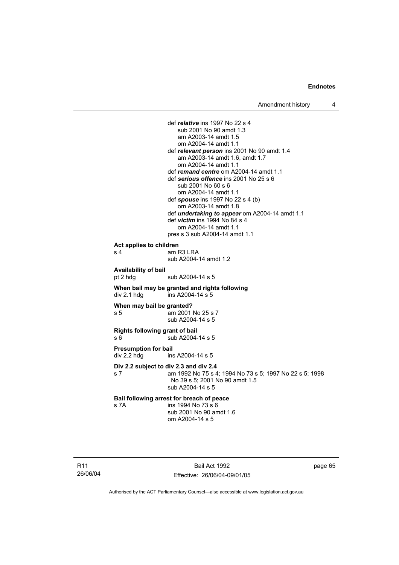def *relative* ins 1997 No 22 s 4 sub 2001 No 90 amdt 1.3 am A2003-14 amdt 1.5 om A2004-14 amdt 1.1 def *relevant person* ins 2001 No 90 amdt 1.4 am A2003-14 amdt 1.6, amdt 1.7 om A2004-14 amdt 1.1 def *remand centre* om A2004-14 amdt 1.1 def *serious offence* ins 2001 No 25 s 6 sub 2001 No 60 s 6 om A2004-14 amdt 1.1 def *spouse* ins 1997 No 22 s 4 (b) om A2003-14 amdt 1.8 def *undertaking to appear* om A2004-14 amdt 1.1 def *victim* ins 1994 No 84 s 4 om A2004-14 amdt 1.1 pres s 3 sub A2004-14 amdt 1.1 **Act applies to children**  s 4 am R3 LRA sub A2004-14 amdt 1.2 **Availability of bail**  pt 2 hdg sub A2004-14 s 5 **When bail may be granted and rights following**   $div 2.1$  hdg  $ins A2004-14 s 5$ **When may bail be granted?**  s 5 am 2001 No 25 s 7 sub A2004-14 s 5 **Rights following grant of bail**  s 6 5 sub A2004-14 s 5 **Presumption for bail**  div 2.2 hdg ins A2004-14 s 5 **Div 2.2 subject to div 2.3 and div 2.4** s 7 am 1992 No 75 s 4; 1994 No 73 s 5; 1997 No 22 s 5; 1998 No 39 s 5; 2001 No 90 amdt 1.5 sub A2004-14 s 5 **Bail following arrest for breach of peace** s 7A ins 1994 No 73 s 6 sub 2001 No 90 amdt 1.6 om A2004-14 s 5

R11 26/06/04

Bail Act 1992 Effective: 26/06/04-09/01/05 page 65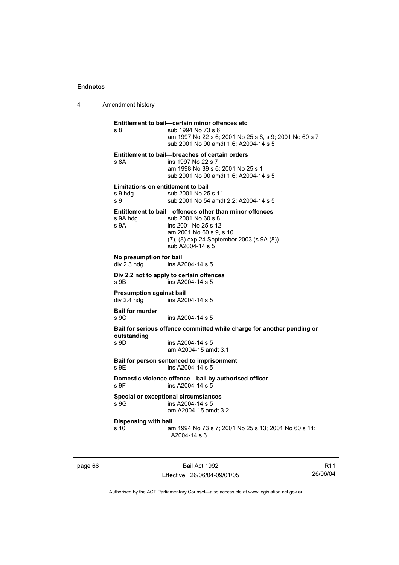4 Amendment history

**Entitlement to bail—certain minor offences etc** s 8 sub 1994 No 73 s 6 am 1997 No 22 s 6; 2001 No 25 s 8, s 9; 2001 No 60 s 7 sub 2001 No 90 amdt 1.6; A2004-14 s 5 **Entitlement to bail—breaches of certain orders** s 8A ins 1997 No 22 s 7 am 1998 No 39 s 6; 2001 No 25 s 1 sub 2001 No 90 amdt 1.6; A2004-14 s 5 **Limitations on entitlement to bail**  s 9 hdg sub 2001 No 25 s 11 s 9 sub 2001 No 54 amdt 2.2; A2004-14 s 5 **Entitlement to bail—offences other than minor offences** s 9A hdg s 8 sub 2001 No 60 s 8 s 9A ins 2001 No 25 s 12 am 2001 No 60 s 9, s 10 (7), (8) exp 24 September 2003 (s 9A (8)) sub A2004-14 s 5 **No presumption for bail**  ins A2004-14 s 5 **Div 2.2 not to apply to certain offences**  s 9B ins A2004-14 s 5 **Presumption against bail**  div 2.4 hdg ins A2004-14 s 5 **Bail for murder**  s 9C ins A2004-14 s 5 **Bail for serious offence committed while charge for another pending or outstanding**  ins A2004-14 s 5 am A2004-15 amdt 3.1 **Bail for person sentenced to imprisonment**  s 9E ins A2004-14 s 5 **Domestic violence offence—bail by authorised officer**  s 9F ins A2004-14 s 5 **Special or exceptional circumstances**   $\frac{1}{3}$  9G ins A2004-14 s 5 am A2004-15 amdt 3.2 **Dispensing with bail** s 10 am 1994 No 73 s 7; 2001 No 25 s 13; 2001 No 60 s 11; A2004-14 s 6

page 66 Bail Act 1992 Effective: 26/06/04-09/01/05

R11 26/06/04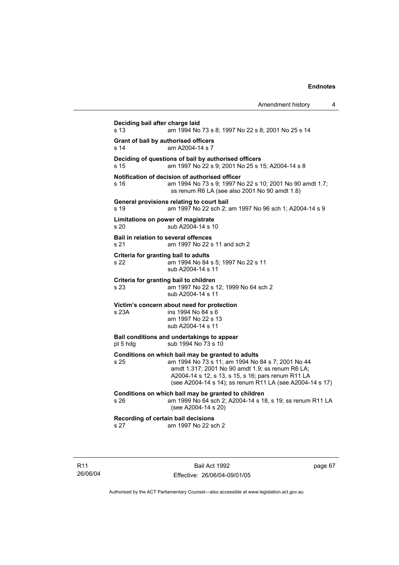| Deciding bail after charge laid<br>s 13<br>am 1994 No 73 s 8; 1997 No 22 s 8; 2001 No 25 s 14<br>Grant of bail by authorised officers<br>am A2004-14 s 7<br>s 14<br>Deciding of questions of bail by authorised officers<br>am 1997 No 22 s 9; 2001 No 25 s 15; A2004-14 s 8<br>s 15<br>Notification of decision of authorised officer<br>s 16<br>am 1994 No 73 s 9; 1997 No 22 s 10; 2001 No 90 amdt 1.7;<br>ss renum R6 LA (see also 2001 No 90 amdt 1.8)<br>General provisions relating to court bail<br>am 1997 No 22 sch 2; am 1997 No 96 sch 1; A2004-14 s 9<br>s 19<br>Limitations on power of magistrate<br>sub A2004-14 s 10<br>s 20<br>Bail in relation to several offences<br>s 21<br>am 1997 No 22 s 11 and sch 2<br>Criteria for granting bail to adults<br>am 1994 No 84 s 5; 1997 No 22 s 11<br>s 22<br>sub A2004-14 s 11<br>Criteria for granting bail to children<br>s 23<br>am 1997 No 22 s 12; 1999 No 64 sch 2<br>sub A2004-14 s 11<br>Victim's concern about need for protection<br>ins 1994 No 84 s 6<br>s 23A<br>am 1997 No 22 s 13<br>sub A2004-14 s 11<br>Bail conditions and undertakings to appear<br>sub 1994 No 73 s 10<br>pt 5 hdg<br>Conditions on which bail may be granted to adults<br>am 1994 No 73 s 11; am 1994 No 84 s 7; 2001 No 44<br>s 25<br>amdt 1.317; 2001 No 90 amdt 1.9; ss renum R6 LA;<br>A2004-14 s 12, s 13, s 15, s 16; pars renum R11 LA<br>(see A2004-14 s 14); ss renum R11 LA (see A2004-14 s 17)<br>Conditions on which bail may be granted to children<br>am 1999 No 64 sch 2; A2004-14 s 18, s 19; ss renum R11 LA<br>s 26<br>(see A2004-14 s 20)<br>Recording of certain bail decisions<br>am 1997 No 22 sch 2<br>s 27 | Amendment history | 4 |
|-----------------------------------------------------------------------------------------------------------------------------------------------------------------------------------------------------------------------------------------------------------------------------------------------------------------------------------------------------------------------------------------------------------------------------------------------------------------------------------------------------------------------------------------------------------------------------------------------------------------------------------------------------------------------------------------------------------------------------------------------------------------------------------------------------------------------------------------------------------------------------------------------------------------------------------------------------------------------------------------------------------------------------------------------------------------------------------------------------------------------------------------------------------------------------------------------------------------------------------------------------------------------------------------------------------------------------------------------------------------------------------------------------------------------------------------------------------------------------------------------------------------------------------------------------------------------------------------------------------------------------------------------------------------------------------|-------------------|---|
|                                                                                                                                                                                                                                                                                                                                                                                                                                                                                                                                                                                                                                                                                                                                                                                                                                                                                                                                                                                                                                                                                                                                                                                                                                                                                                                                                                                                                                                                                                                                                                                                                                                                                   |                   |   |
|                                                                                                                                                                                                                                                                                                                                                                                                                                                                                                                                                                                                                                                                                                                                                                                                                                                                                                                                                                                                                                                                                                                                                                                                                                                                                                                                                                                                                                                                                                                                                                                                                                                                                   |                   |   |
|                                                                                                                                                                                                                                                                                                                                                                                                                                                                                                                                                                                                                                                                                                                                                                                                                                                                                                                                                                                                                                                                                                                                                                                                                                                                                                                                                                                                                                                                                                                                                                                                                                                                                   |                   |   |
|                                                                                                                                                                                                                                                                                                                                                                                                                                                                                                                                                                                                                                                                                                                                                                                                                                                                                                                                                                                                                                                                                                                                                                                                                                                                                                                                                                                                                                                                                                                                                                                                                                                                                   |                   |   |
|                                                                                                                                                                                                                                                                                                                                                                                                                                                                                                                                                                                                                                                                                                                                                                                                                                                                                                                                                                                                                                                                                                                                                                                                                                                                                                                                                                                                                                                                                                                                                                                                                                                                                   |                   |   |
|                                                                                                                                                                                                                                                                                                                                                                                                                                                                                                                                                                                                                                                                                                                                                                                                                                                                                                                                                                                                                                                                                                                                                                                                                                                                                                                                                                                                                                                                                                                                                                                                                                                                                   |                   |   |
|                                                                                                                                                                                                                                                                                                                                                                                                                                                                                                                                                                                                                                                                                                                                                                                                                                                                                                                                                                                                                                                                                                                                                                                                                                                                                                                                                                                                                                                                                                                                                                                                                                                                                   |                   |   |
|                                                                                                                                                                                                                                                                                                                                                                                                                                                                                                                                                                                                                                                                                                                                                                                                                                                                                                                                                                                                                                                                                                                                                                                                                                                                                                                                                                                                                                                                                                                                                                                                                                                                                   |                   |   |
|                                                                                                                                                                                                                                                                                                                                                                                                                                                                                                                                                                                                                                                                                                                                                                                                                                                                                                                                                                                                                                                                                                                                                                                                                                                                                                                                                                                                                                                                                                                                                                                                                                                                                   |                   |   |
|                                                                                                                                                                                                                                                                                                                                                                                                                                                                                                                                                                                                                                                                                                                                                                                                                                                                                                                                                                                                                                                                                                                                                                                                                                                                                                                                                                                                                                                                                                                                                                                                                                                                                   |                   |   |
|                                                                                                                                                                                                                                                                                                                                                                                                                                                                                                                                                                                                                                                                                                                                                                                                                                                                                                                                                                                                                                                                                                                                                                                                                                                                                                                                                                                                                                                                                                                                                                                                                                                                                   |                   |   |
|                                                                                                                                                                                                                                                                                                                                                                                                                                                                                                                                                                                                                                                                                                                                                                                                                                                                                                                                                                                                                                                                                                                                                                                                                                                                                                                                                                                                                                                                                                                                                                                                                                                                                   |                   |   |
|                                                                                                                                                                                                                                                                                                                                                                                                                                                                                                                                                                                                                                                                                                                                                                                                                                                                                                                                                                                                                                                                                                                                                                                                                                                                                                                                                                                                                                                                                                                                                                                                                                                                                   |                   |   |
|                                                                                                                                                                                                                                                                                                                                                                                                                                                                                                                                                                                                                                                                                                                                                                                                                                                                                                                                                                                                                                                                                                                                                                                                                                                                                                                                                                                                                                                                                                                                                                                                                                                                                   |                   |   |

R11 26/06/04

Bail Act 1992 Effective: 26/06/04-09/01/05 page 67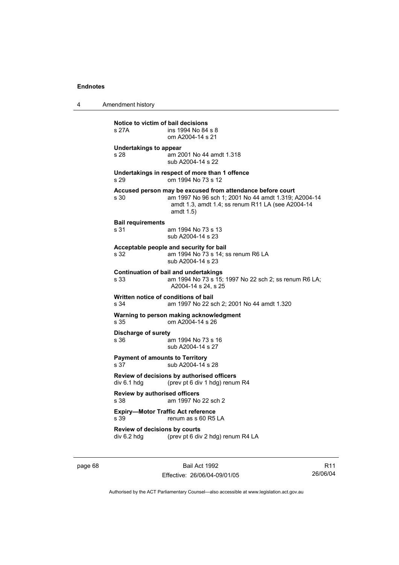4 Amendment history

**Notice to victim of bail decisions**<br>s 27A **ins 1994** No 84 ins 1994 No 84 s 8 om A2004-14 s 21 **Undertakings to appear**  s 28 am 2001 No 44 amdt 1.318 sub A2004-14 s 22 **Undertakings in respect of more than 1 offence**  s 29 om 1994 No 73 s 12 **Accused person may be excused from attendance before court** s 30 am 1997 No 96 sch 1; 2001 No 44 amdt 1.319; A2004-14 amdt 1.3, amdt 1.4; ss renum R11 LA (see A2004-14 amdt 1.5) **Bail requirements** s 31 am 1994 No 73 s 13 sub A2004-14 s 23 **Acceptable people and security for bail**  s 32 am 1994 No 73 s 14; ss renum R6 LA sub A2004-14 s 23 **Continuation of bail and undertakings** s 33 am 1994 No 73 s 15; 1997 No 22 sch 2; ss renum R6 LA; A2004-14 s 24, s 25 **Written notice of conditions of bail** s 34 am 1997 No 22 sch 2; 2001 No 44 amdt 1.320 **Warning to person making acknowledgment** s 35 om A2004-14 s 26 **Discharge of surety** s 36 am 1994 No 73 s 16 sub A2004-14 s 27 **Payment of amounts to Territory** s 37 sub A2004-14 s 28 **Review of decisions by authorised officers**  div 6.1 hdg (prev pt 6 div 1 hdg) renum R4 **Review by authorised officers** s 38 am 1997 No 22 sch 2 **Expiry—Motor Traffic Act reference**  s 39 renum as s 60 R5 LA **Review of decisions by courts**  div 6.2 hdg (prev pt 6 div 2 hdg) renum R4 LA

page 68 Bail Act 1992 Effective: 26/06/04-09/01/05

R11 26/06/04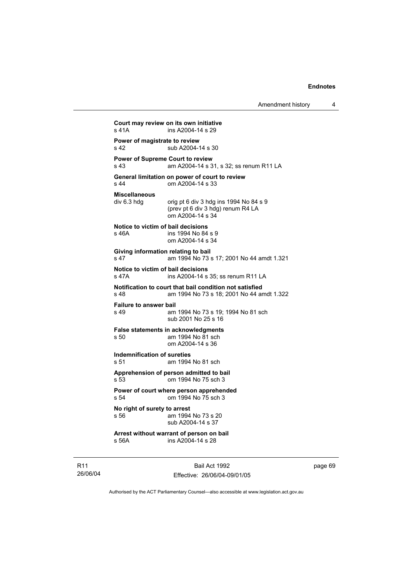```
Court may review on its own initiative
s 41A ins A2004-14 s 29
Power of magistrate to review
s 42 sub A2004-14 s 30
Power of Supreme Court to review
s 43 am A2004-14 s 31, s 32; ss renum R11 LA 
General limitation on power of court to review
s 44 om A2004-14 s 33 
Miscellaneous 
                orig pt 6 div 3 hdg ins 1994 No 84 s 9
                 (prev pt 6 div 3 hdg) renum R4 LA 
                 om A2004-14 s 34 
Notice to victim of bail decisions
s 46A ins 1994 No 84 s 9
                 om A2004-14 s 34 
Giving information relating to bail
s 47 am 1994 No 73 s 17; 2001 No 44 amdt 1.321
Notice to victim of bail decisions
s 47A ins A2004-14 s 35; ss renum R11 LA 
Notification to court that bail condition not satisfied
s 48 am 1994 No 73 s 18; 2001 No 44 amdt 1.322 
Failure to answer bail
s 49 am 1994 No 73 s 19; 1994 No 81 sch 
                 sub 2001 No 25 s 16 
False statements in acknowledgments
s 50 am 1994 No 81 sch 
                 om A2004-14 s 36 
Indemnification of sureties
s 51 am 1994 No 81 sch 
Apprehension of person admitted to bail
s 53 om 1994 No 75 sch 3 
Power of court where person apprehended
s 54 om 1994 No 75 sch 3 
No right of surety to arrest
                am 1994 No 73 s 20
                 sub A2004-14 s 37 
Arrest without warrant of person on bail
s 56A ins A2004-14 s 28
```
R11 26/06/04

Bail Act 1992 Effective: 26/06/04-09/01/05 page 69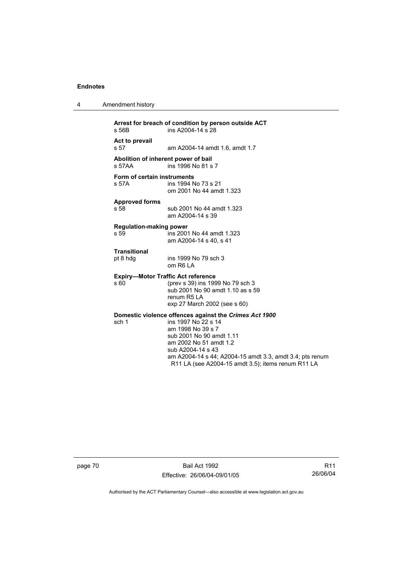4 Amendment history

| s 56B                                  | Arrest for breach of condition by person outside ACT<br>ins A2004-14 s 28                                                                                                                                                                                                                       |
|----------------------------------------|-------------------------------------------------------------------------------------------------------------------------------------------------------------------------------------------------------------------------------------------------------------------------------------------------|
| Act to prevail<br>s 57                 | am A2004-14 amdt 1.6, amdt 1.7                                                                                                                                                                                                                                                                  |
| s <sub>57</sub> AA                     | Abolition of inherent power of bail<br>ins 1996 No 81 s 7                                                                                                                                                                                                                                       |
| Form of certain instruments<br>s 57A   | ins 1994 No 73 s 21<br>om 2001 No 44 amdt 1.323                                                                                                                                                                                                                                                 |
| <b>Approved forms</b><br>s 58          | sub 2001 No 44 amdt 1.323<br>am A2004-14 s 39                                                                                                                                                                                                                                                   |
| <b>Regulation-making power</b><br>s 59 | ins 2001 No 44 amdt 1.323<br>am A2004-14 s 40, s 41                                                                                                                                                                                                                                             |
| <b>Transitional</b><br>pt 8 hdg        | ins 1999 No 79 sch 3<br>om R6 LA                                                                                                                                                                                                                                                                |
| s 60                                   | <b>Expiry-Motor Traffic Act reference</b><br>(prev s 39) ins 1999 No 79 sch 3<br>sub 2001 No 90 amdt 1.10 as s 59<br>renum R5 LA<br>exp 27 March 2002 (see s 60)                                                                                                                                |
| sch 1                                  | Domestic violence offences against the Crimes Act 1900<br>ins 1997 No 22 s 14<br>am 1998 No 39 s 7<br>sub 2001 No 90 amdt 1.11<br>am 2002 No 51 amdt 1.2<br>sub A2004-14 s 43<br>am A2004-14 s 44; A2004-15 amdt 3.3, amdt 3.4; pts renum<br>R11 LA (see A2004-15 amdt 3.5); items renum R11 LA |

page 70 Bail Act 1992 Effective: 26/06/04-09/01/05

R11 26/06/04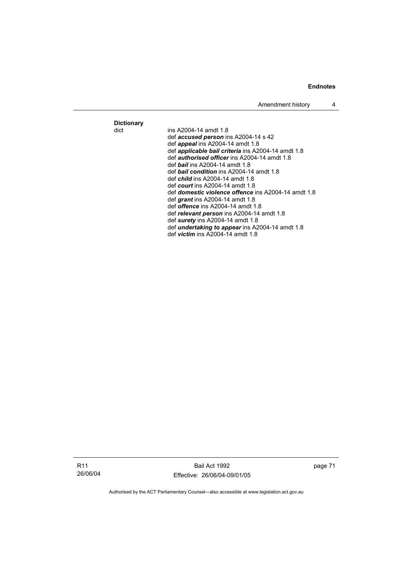**Dictionary** 

ins A2004-14 amdt 1.8 def *accused person* ins A2004-14 s 42 def *appeal* ins A2004-14 amdt 1.8 def *applicable bail criteria* ins A2004-14 amdt 1.8 def *authorised officer* ins A2004-14 amdt 1.8 def *bail* ins A2004-14 amdt 1.8 def *bail condition* ins A2004-14 amdt 1.8 def *child* ins A2004-14 amdt 1.8 def *court* ins A2004-14 amdt 1.8 def *domestic violence offence* ins A2004-14 amdt 1.8 def *grant* ins A2004-14 amdt 1.8 def *offence* ins A2004-14 amdt 1.8 def *relevant person* ins A2004-14 amdt 1.8 def *surety* ins A2004-14 amdt 1.8 def *undertaking to appear* ins A2004-14 amdt 1.8 def *victim* ins A2004-14 amdt 1.8

R11 26/06/04

Bail Act 1992 Effective: 26/06/04-09/01/05 page 71